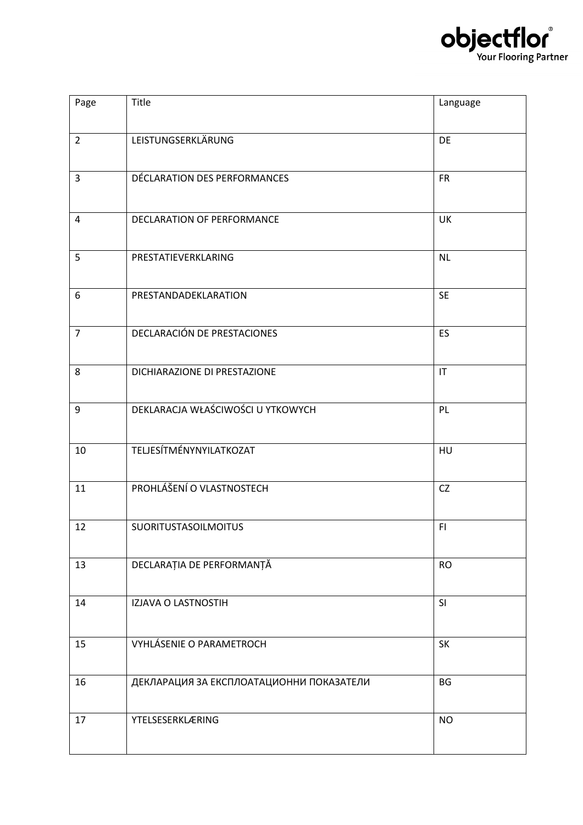

| Page           | Title                                    | Language               |
|----------------|------------------------------------------|------------------------|
| $\overline{2}$ | LEISTUNGSERKLÄRUNG                       | DE                     |
| 3              | DÉCLARATION DES PERFORMANCES             | <b>FR</b>              |
| 4              | DECLARATION OF PERFORMANCE               | UK                     |
| 5              | PRESTATIEVERKLARING                      | <b>NL</b>              |
| 6              | PRESTANDADEKLARATION                     | <b>SE</b>              |
| $\overline{7}$ | DECLARACIÓN DE PRESTACIONES              | ES                     |
| 8              | DICHIARAZIONE DI PRESTAZIONE             | $\mathsf{I}\mathsf{T}$ |
| 9              | DEKLARACJA WŁAŚCIWOŚCI U YTKOWYCH        | PL                     |
| 10             | TELJESÍTMÉNYNYILATKOZAT                  | HU                     |
| 11             | PROHLÁŠENÍ O VLASTNOSTECH                | CZ                     |
| 12             | <b>SUORITUSTASOILMOITUS</b>              | F1                     |
| 13             | DECLARAȚIA DE PERFORMANȚĂ                | <b>RO</b>              |
| 14             | IZJAVA O LASTNOSTIH                      | SI                     |
| 15             | <b>VYHLÁSENIE O PARAMETROCH</b>          | SK                     |
| 16             | ДЕКЛАРАЦИЯ ЗА ЕКСПЛОАТАЦИОННИ ПОКАЗАТЕЛИ | <b>BG</b>              |
| 17             | <b>YTELSESERKLÆRING</b>                  | <b>NO</b>              |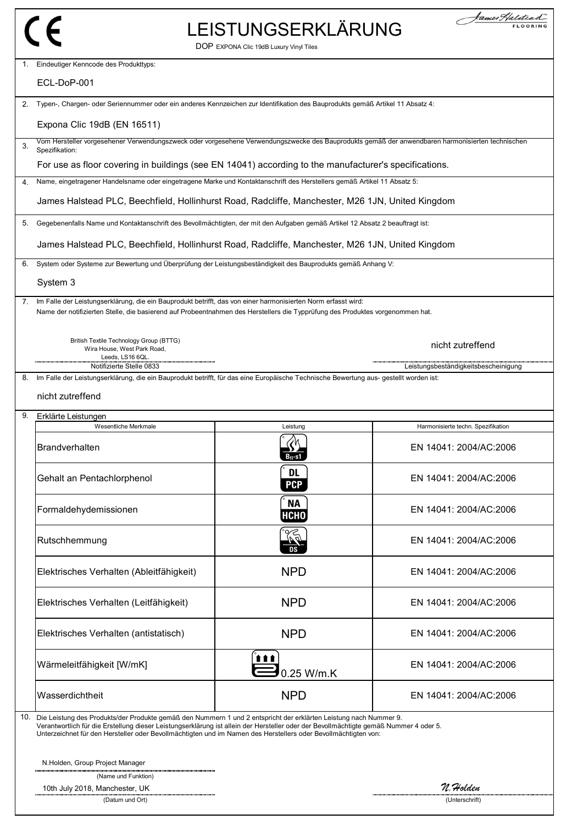## LEISTUNGSERKLÄRUNG

| fames Halitead" |
|-----------------|
| <b>FLOORING</b> |

|                                                                                                                                                                                                                                                                                                                                                                                     | DOP EXPONA Clic 19dB Luxury Vinyl Tiles |                                      |  |
|-------------------------------------------------------------------------------------------------------------------------------------------------------------------------------------------------------------------------------------------------------------------------------------------------------------------------------------------------------------------------------------|-----------------------------------------|--------------------------------------|--|
| Eindeutiger Kenncode des Produkttyps:<br>1.                                                                                                                                                                                                                                                                                                                                         |                                         |                                      |  |
| ECL-DoP-001                                                                                                                                                                                                                                                                                                                                                                         |                                         |                                      |  |
| Typen-, Chargen- oder Seriennummer oder ein anderes Kennzeichen zur Identifikation des Bauprodukts gemäß Artikel 11 Absatz 4:<br>2.                                                                                                                                                                                                                                                 |                                         |                                      |  |
| Expona Clic 19dB (EN 16511)                                                                                                                                                                                                                                                                                                                                                         |                                         |                                      |  |
| Vom Hersteller vorgesehener Verwendungszweck oder vorgesehene Verwendungszwecke des Bauprodukts gemäß der anwendbaren harmonisierten technischen<br>3.<br>Spezifikation:                                                                                                                                                                                                            |                                         |                                      |  |
| For use as floor covering in buildings (see EN 14041) according to the manufacturer's specifications.                                                                                                                                                                                                                                                                               |                                         |                                      |  |
| Name, eingetragener Handelsname oder eingetragene Marke und Kontaktanschrift des Herstellers gemäß Artikel 11 Absatz 5:<br>4.                                                                                                                                                                                                                                                       |                                         |                                      |  |
| James Halstead PLC, Beechfield, Hollinhurst Road, Radcliffe, Manchester, M26 1JN, United Kingdom                                                                                                                                                                                                                                                                                    |                                         |                                      |  |
| Gegebenenfalls Name und Kontaktanschrift des Bevollmächtigten, der mit den Aufgaben gemäß Artikel 12 Absatz 2 beauftragt ist:<br>5.                                                                                                                                                                                                                                                 |                                         |                                      |  |
| James Halstead PLC, Beechfield, Hollinhurst Road, Radcliffe, Manchester, M26 1JN, United Kingdom                                                                                                                                                                                                                                                                                    |                                         |                                      |  |
| System oder Systeme zur Bewertung und Überprüfung der Leistungsbeständigkeit des Bauprodukts gemäß Anhang V:<br>6.                                                                                                                                                                                                                                                                  |                                         |                                      |  |
| System 3                                                                                                                                                                                                                                                                                                                                                                            |                                         |                                      |  |
| Im Falle der Leistungserklärung, die ein Bauprodukt betrifft, das von einer harmonisierten Norm erfasst wird:<br>7.<br>Name der notifizierten Stelle, die basierend auf Probeentnahmen des Herstellers die Typprüfung des Produktes vorgenommen hat.                                                                                                                                |                                         |                                      |  |
| British Textile Technology Group (BTTG)<br>Wira House, West Park Road,<br>Leeds, LS16 6QL.                                                                                                                                                                                                                                                                                          |                                         | nicht zutreffend                     |  |
| Notifizierte Stelle 0833                                                                                                                                                                                                                                                                                                                                                            |                                         | Leistungsbeständigkeitsbescheinigung |  |
| Im Falle der Leistungserklärung, die ein Bauprodukt betrifft, für das eine Europäische Technische Bewertung aus- gestellt worden ist:<br>8.                                                                                                                                                                                                                                         |                                         |                                      |  |
| nicht zutreffend                                                                                                                                                                                                                                                                                                                                                                    |                                         |                                      |  |
| 9.<br>Erklärte Leistungen<br>Wesentliche Merkmale                                                                                                                                                                                                                                                                                                                                   | Leistung                                | Harmonisierte techn. Spezifikation   |  |
| <b>Brandverhalten</b>                                                                                                                                                                                                                                                                                                                                                               | $B_{1}$ -s1                             | EN 14041: 2004/AC:2006               |  |
| Gehalt an Pentachlorphenol                                                                                                                                                                                                                                                                                                                                                          | DL<br><b>PCP</b>                        | EN 14041: 2004/AC:2006               |  |
| Formaldehydemissionen                                                                                                                                                                                                                                                                                                                                                               | <b>NA</b><br><b>НСНО</b>                | EN 14041: 2004/AC:2006               |  |
| Rutschhemmung                                                                                                                                                                                                                                                                                                                                                                       | $\mathbb{\bar{R}}$                      | EN 14041: 2004/AC:2006               |  |
| Elektrisches Verhalten (Ableitfähigkeit)                                                                                                                                                                                                                                                                                                                                            | <b>NPD</b>                              | EN 14041: 2004/AC:2006               |  |
| Elektrisches Verhalten (Leitfähigkeit)                                                                                                                                                                                                                                                                                                                                              | <b>NPD</b>                              | EN 14041: 2004/AC:2006               |  |
| Elektrisches Verhalten (antistatisch)                                                                                                                                                                                                                                                                                                                                               | <b>NPD</b>                              | EN 14041: 2004/AC:2006               |  |
| Wärmeleitfähigkeit [W/mK]                                                                                                                                                                                                                                                                                                                                                           | <b>ttt</b><br>0.25 W/m.K                | EN 14041: 2004/AC:2006               |  |
| Wasserdichtheit                                                                                                                                                                                                                                                                                                                                                                     | <b>NPD</b>                              | EN 14041: 2004/AC:2006               |  |
| 10.<br>Die Leistung des Produkts/der Produkte gemäß den Nummern 1 und 2 entspricht der erklärten Leistung nach Nummer 9.<br>Verantwortlich für die Erstellung dieser Leistungserklärung ist allein der Hersteller oder der Bevollmächtigte gemäß Nummer 4 oder 5.<br>Unterzeichnet für den Hersteller oder Bevollmächtigten und im Namen des Herstellers oder Bevollmächtigten von: |                                         |                                      |  |
| N.Holden, Group Project Manager<br>(Name und Funktion)                                                                                                                                                                                                                                                                                                                              |                                         | N. Holden                            |  |
| 10th July 2018, Manchester, UK<br>(Datum und Ort)                                                                                                                                                                                                                                                                                                                                   |                                         | (Unterschrift)                       |  |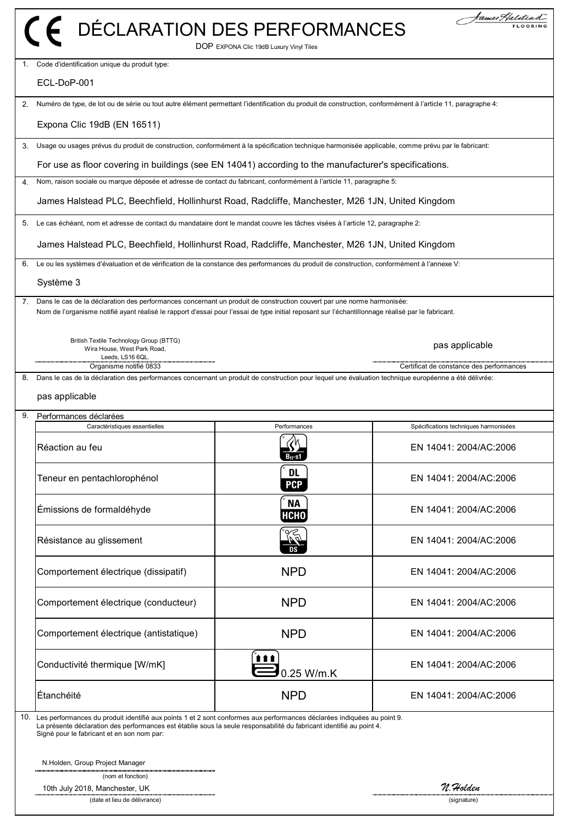|                | DÉCLARATION DES PERFORMANCES                                                                                                                                                                                                                                                                      | DOP EXPONA Clic 19dB Luxury Vinyl Tiles | James Halitea                            |
|----------------|---------------------------------------------------------------------------------------------------------------------------------------------------------------------------------------------------------------------------------------------------------------------------------------------------|-----------------------------------------|------------------------------------------|
| 1.             | Code d'identification unique du produit type:                                                                                                                                                                                                                                                     |                                         |                                          |
|                | ECL-DoP-001                                                                                                                                                                                                                                                                                       |                                         |                                          |
| 2.             | Numéro de type, de lot ou de série ou tout autre élément permettant l'identification du produit de construction, conformément à l'article 11, paragraphe 4:                                                                                                                                       |                                         |                                          |
|                | Expona Clic 19dB (EN 16511)                                                                                                                                                                                                                                                                       |                                         |                                          |
| 3.             | Usage ou usages prévus du produit de construction, conformément à la spécification technique harmonisée applicable, comme prévu par le fabricant:                                                                                                                                                 |                                         |                                          |
|                | For use as floor covering in buildings (see EN 14041) according to the manufacturer's specifications.                                                                                                                                                                                             |                                         |                                          |
| $\mathbf{4}$ . | Nom, raison sociale ou marque déposée et adresse de contact du fabricant, conformément à l'article 11, paragraphe 5:                                                                                                                                                                              |                                         |                                          |
|                | James Halstead PLC, Beechfield, Hollinhurst Road, Radcliffe, Manchester, M26 1JN, United Kingdom                                                                                                                                                                                                  |                                         |                                          |
| 5.             | Le cas échéant, nom et adresse de contact du mandataire dont le mandat couvre les tâches visées à l'article 12, paragraphe 2:                                                                                                                                                                     |                                         |                                          |
|                | James Halstead PLC, Beechfield, Hollinhurst Road, Radcliffe, Manchester, M26 1JN, United Kingdom                                                                                                                                                                                                  |                                         |                                          |
| 6.             | Le ou les systèmes d'évaluation et de vérification de la constance des performances du produit de construction, conformément à l'annexe V:                                                                                                                                                        |                                         |                                          |
|                | Système 3                                                                                                                                                                                                                                                                                         |                                         |                                          |
|                | 7. Dans le cas de la déclaration des performances concernant un produit de construction couvert par une norme harmonisée:<br>Nom de l'organisme notifié ayant réalisé le rapport d'essai pour l'essai de type initial reposant sur l'échantillonnage réalisé par le fabricant.                    |                                         |                                          |
|                | British Textile Technology Group (BTTG)<br>Wira House, West Park Road,<br>Leeds, LS16 6QL.                                                                                                                                                                                                        |                                         | pas applicable                           |
| 8.             | Organisme notifié 0833<br>Dans le cas de la déclaration des performances concernant un produit de construction pour lequel une évaluation technique européenne a été délivrée:                                                                                                                    |                                         | Certificat de constance des performances |
|                | pas applicable                                                                                                                                                                                                                                                                                    |                                         |                                          |
| 9.             | Performances déclarées<br>Caractéristiques essentielles                                                                                                                                                                                                                                           | Performances                            | Spécifications techniques harmonisées    |
|                |                                                                                                                                                                                                                                                                                                   | クル                                      |                                          |
|                | Réaction au feu                                                                                                                                                                                                                                                                                   | $B_{fl}$ -s1                            | EN 14041: 2004/AC:2006                   |
|                | Teneur en pentachlorophénol                                                                                                                                                                                                                                                                       | <b>DL</b><br><b>PCP</b>                 | EN 14041: 2004/AC:2006                   |
|                | Émissions de formaldéhyde                                                                                                                                                                                                                                                                         | <b>NA</b><br><b>НСНО</b>                | EN 14041: 2004/AC:2006                   |
|                | Résistance au glissement                                                                                                                                                                                                                                                                          | ∝<br>124<br>DS                          | EN 14041: 2004/AC:2006                   |
|                | Comportement électrique (dissipatif)                                                                                                                                                                                                                                                              | <b>NPD</b>                              | EN 14041: 2004/AC:2006                   |
|                | Comportement électrique (conducteur)                                                                                                                                                                                                                                                              | <b>NPD</b>                              | EN 14041: 2004/AC:2006                   |
|                | Comportement électrique (antistatique)                                                                                                                                                                                                                                                            | <b>NPD</b>                              | EN 14041: 2004/AC:2006                   |
|                | Conductivité thermique [W/mK]                                                                                                                                                                                                                                                                     | 111<br>0.25 W/m.K                       | EN 14041: 2004/AC:2006                   |
|                | Étanchéité                                                                                                                                                                                                                                                                                        | <b>NPD</b>                              | EN 14041: 2004/AC:2006                   |
|                | 10. Les performances du produit identifié aux points 1 et 2 sont conformes aux performances déclarées indiquées au point 9.<br>La présente déclaration des performances est établie sous la seule responsabilité du fabricant identifié au point 4.<br>Signé pour le fabricant et en son nom par: |                                         |                                          |
|                | N.Holden, Group Project Manager                                                                                                                                                                                                                                                                   |                                         |                                          |
|                | (nom et fonction)                                                                                                                                                                                                                                                                                 |                                         |                                          |
|                | 10th July 2018, Manchester, UK<br>(date et lieu de délivrance)                                                                                                                                                                                                                                    |                                         | n. Holden<br>(signature)                 |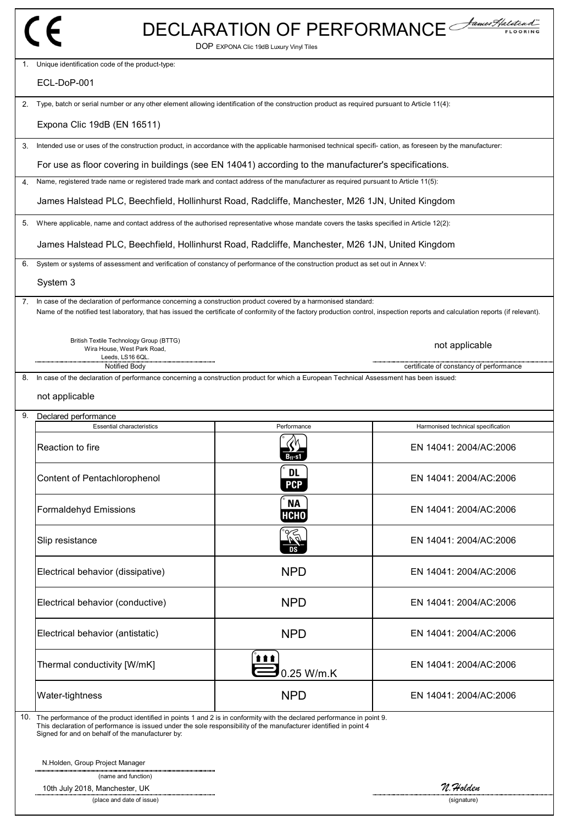|                                                                                                                                                                                                                                                                                                     |                                         | DECLARATION OF PERFORMANCE              |
|-----------------------------------------------------------------------------------------------------------------------------------------------------------------------------------------------------------------------------------------------------------------------------------------------------|-----------------------------------------|-----------------------------------------|
| 1. Unique identification code of the product-type:                                                                                                                                                                                                                                                  | DOP EXPONA Clic 19dB Luxury Vinyl Tiles |                                         |
| ECL-DoP-001                                                                                                                                                                                                                                                                                         |                                         |                                         |
| Type, batch or serial number or any other element allowing identification of the construction product as required pursuant to Article 11(4):<br>2.                                                                                                                                                  |                                         |                                         |
| Expona Clic 19dB (EN 16511)                                                                                                                                                                                                                                                                         |                                         |                                         |
| Intended use or uses of the construction product, in accordance with the applicable harmonised technical specifi- cation, as foreseen by the manufacturer:                                                                                                                                          |                                         |                                         |
| For use as floor covering in buildings (see EN 14041) according to the manufacturer's specifications.                                                                                                                                                                                               |                                         |                                         |
| Name, registered trade name or registered trade mark and contact address of the manufacturer as required pursuant to Article 11(5):                                                                                                                                                                 |                                         |                                         |
| James Halstead PLC, Beechfield, Hollinhurst Road, Radcliffe, Manchester, M26 1JN, United Kingdom                                                                                                                                                                                                    |                                         |                                         |
| Where applicable, name and contact address of the authorised representative whose mandate covers the tasks specified in Article 12(2):                                                                                                                                                              |                                         |                                         |
| James Halstead PLC, Beechfield, Hollinhurst Road, Radcliffe, Manchester, M26 1JN, United Kingdom                                                                                                                                                                                                    |                                         |                                         |
| System or systems of assessment and verification of constancy of performance of the construction product as set out in Annex V:                                                                                                                                                                     |                                         |                                         |
| System 3                                                                                                                                                                                                                                                                                            |                                         |                                         |
| In case of the declaration of performance concerning a construction product covered by a harmonised standard:<br>Name of the notified test laboratory, that has issued the certificate of conformity of the factory production control, inspection reports and calculation reports (if relevant).   |                                         |                                         |
| British Textile Technology Group (BTTG)<br>Wira House, West Park Road,<br>Leeds, LS16 6QL.                                                                                                                                                                                                          |                                         | not applicable                          |
| Notified Body<br>In case of the declaration of performance concerning a construction product for which a European Technical Assessment has been issued:                                                                                                                                             |                                         | certificate of constancy of performance |
| not applicable                                                                                                                                                                                                                                                                                      |                                         |                                         |
| Declared performance<br><b>Essential characteristics</b>                                                                                                                                                                                                                                            | Performance                             | Harmonised technical specification      |
| Reaction to fire                                                                                                                                                                                                                                                                                    |                                         | EN 14041: 2004/AC:2006                  |
| Content of Pentachlorophenol                                                                                                                                                                                                                                                                        | <b>DL</b><br><b>PCP</b>                 | EN 14041: 2004/AC:2006                  |
| <b>Formaldehyd Emissions</b>                                                                                                                                                                                                                                                                        | <b>NA</b><br><b>НСНО</b>                | EN 14041: 2004/AC:2006                  |
| Slip resistance                                                                                                                                                                                                                                                                                     | Ñ<br>DS                                 | EN 14041: 2004/AC:2006                  |
| Electrical behavior (dissipative)                                                                                                                                                                                                                                                                   | <b>NPD</b>                              | EN 14041: 2004/AC:2006                  |
| Electrical behavior (conductive)                                                                                                                                                                                                                                                                    | <b>NPD</b>                              | EN 14041: 2004/AC:2006                  |
| Electrical behavior (antistatic)                                                                                                                                                                                                                                                                    | <b>NPD</b>                              | EN 14041: 2004/AC:2006                  |
| Thermal conductivity [W/mK]                                                                                                                                                                                                                                                                         | <b>111</b><br>0.25 W/m.K                | EN 14041: 2004/AC:2006                  |
| Water-tightness                                                                                                                                                                                                                                                                                     | <b>NPD</b>                              | EN 14041: 2004/AC:2006                  |
| 10. The performance of the product identified in points 1 and 2 is in conformity with the declared performance in point 9.<br>This declaration of performance is issued under the sole responsibility of the manufacturer identified in point 4<br>Signed for and on behalf of the manufacturer by: |                                         |                                         |
| N.Holden, Group Project Manager                                                                                                                                                                                                                                                                     |                                         |                                         |
| (name and function)                                                                                                                                                                                                                                                                                 |                                         |                                         |
| 10th July 2018, Manchester, UK                                                                                                                                                                                                                                                                      |                                         | n. Holden                               |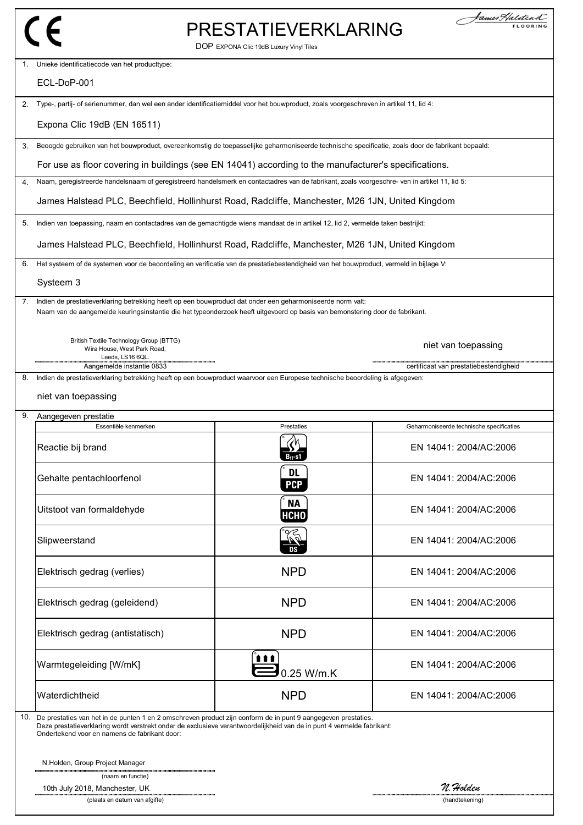### PRESTATIEVERKLARING

DOP EXPONA Clic 19dB Luxury Vinyl Tiles

| $1_{-}$ | Unieke identificatiecode van het producttype:                                                                                                                                                                                                                                                |                          |                                          |
|---------|----------------------------------------------------------------------------------------------------------------------------------------------------------------------------------------------------------------------------------------------------------------------------------------------|--------------------------|------------------------------------------|
|         | ECL-DoP-001                                                                                                                                                                                                                                                                                  |                          |                                          |
| 2.      | Type-, partij- of serienummer, dan wel een ander identificatiemiddel voor het bouwproduct, zoals voorgeschreven in artikel 11, lid 4:                                                                                                                                                        |                          |                                          |
|         | Expona Clic 19dB (EN 16511)                                                                                                                                                                                                                                                                  |                          |                                          |
| 3.      | Beoogde gebruiken van het bouwproduct, overeenkomstig de toepasselijke geharmoniseerde technische specificatie, zoals door de fabrikant bepaald:                                                                                                                                             |                          |                                          |
|         | For use as floor covering in buildings (see EN 14041) according to the manufacturer's specifications.                                                                                                                                                                                        |                          |                                          |
| 4.      | Naam, geregistreerde handelsnaam of geregistreerd handelsmerk en contactadres van de fabrikant, zoals voorgeschre- ven in artikel 11, lid 5:                                                                                                                                                 |                          |                                          |
|         | James Halstead PLC, Beechfield, Hollinhurst Road, Radcliffe, Manchester, M26 1JN, United Kingdom                                                                                                                                                                                             |                          |                                          |
| 5.      | Indien van toepassing, naam en contactadres van de gemachtigde wiens mandaat de in artikel 12, lid 2, vermelde taken bestrijkt:                                                                                                                                                              |                          |                                          |
|         | James Halstead PLC, Beechfield, Hollinhurst Road, Radcliffe, Manchester, M26 1JN, United Kingdom                                                                                                                                                                                             |                          |                                          |
| 6.      | Het systeem of de systemen voor de beoordeling en verificatie van de prestatiebestendigheid van het bouwproduct, vermeld in bijlage V:                                                                                                                                                       |                          |                                          |
|         | Systeem 3                                                                                                                                                                                                                                                                                    |                          |                                          |
| 7.      | Indien de prestatieverklaring betrekking heeft op een bouwproduct dat onder een geharmoniseerde norm valt:<br>Naam van de aangemelde keuringsinstantie die het typeonderzoek heeft uitgevoerd op basis van bemonstering door de fabrikant.                                                   |                          |                                          |
|         |                                                                                                                                                                                                                                                                                              |                          |                                          |
|         | British Textile Technology Group (BTTG)<br>Wira House, West Park Road,                                                                                                                                                                                                                       |                          | niet van toepassing                      |
|         | Leeds, LS16 6QL.<br>Aangemelde instantie 0833                                                                                                                                                                                                                                                |                          | certificaat van prestatiebestendigheid   |
| 8.      | Indien de prestatieverklaring betrekking heeft op een bouwproduct waarvoor een Europese technische beoordeling is afgegeven:                                                                                                                                                                 |                          |                                          |
|         | niet van toepassing                                                                                                                                                                                                                                                                          |                          |                                          |
| 9.      | Aangegeven prestatie                                                                                                                                                                                                                                                                         |                          |                                          |
|         | Essentiële kenmerken                                                                                                                                                                                                                                                                         | Prestaties               | Geharmoniseerde technische specificaties |
|         | Reactie bij brand                                                                                                                                                                                                                                                                            | $B_{11}$ -s1             | EN 14041: 2004/AC:2006                   |
|         | Gehalte pentachloorfenol                                                                                                                                                                                                                                                                     | DL<br>PCP                | EN 14041: 2004/AC:2006                   |
|         | Uitstoot van formaldehyde                                                                                                                                                                                                                                                                    | <b>NA</b><br><b>НСНО</b> | EN 14041: 2004/AC:2006                   |
|         | Slipweerstand                                                                                                                                                                                                                                                                                | <b>The</b>               | EN 14041: 2004/AC:2006                   |
|         | Elektrisch gedrag (verlies)                                                                                                                                                                                                                                                                  | <b>NPD</b>               | EN 14041: 2004/AC:2006                   |
|         | Elektrisch gedrag (geleidend)                                                                                                                                                                                                                                                                | <b>NPD</b>               | EN 14041: 2004/AC:2006                   |
|         | Elektrisch gedrag (antistatisch)                                                                                                                                                                                                                                                             | <b>NPD</b>               | EN 14041: 2004/AC:2006                   |
|         | Warmtegeleiding [W/mK]                                                                                                                                                                                                                                                                       | <b>ttt</b><br>0.25 W/m.K | EN 14041: 2004/AC:2006                   |
|         | Waterdichtheid                                                                                                                                                                                                                                                                               | <b>NPD</b>               | EN 14041: 2004/AC:2006                   |
|         | 10. De prestaties van het in de punten 1 en 2 omschreven product zijn conform de in punt 9 aangegeven prestaties.<br>Deze prestatieverklaring wordt verstrekt onder de exclusieve verantwoordelijkheid van de in punt 4 vermelde fabrikant:<br>Ondertekend voor en namens de fabrikant door: |                          |                                          |
|         | N.Holden, Group Project Manager                                                                                                                                                                                                                                                              |                          |                                          |
|         | (naam en functie)                                                                                                                                                                                                                                                                            |                          |                                          |
|         | 10th July 2018, Manchester, UK<br>(plaats en datum van afgifte)                                                                                                                                                                                                                              |                          | N. Holden<br>(handtekening)              |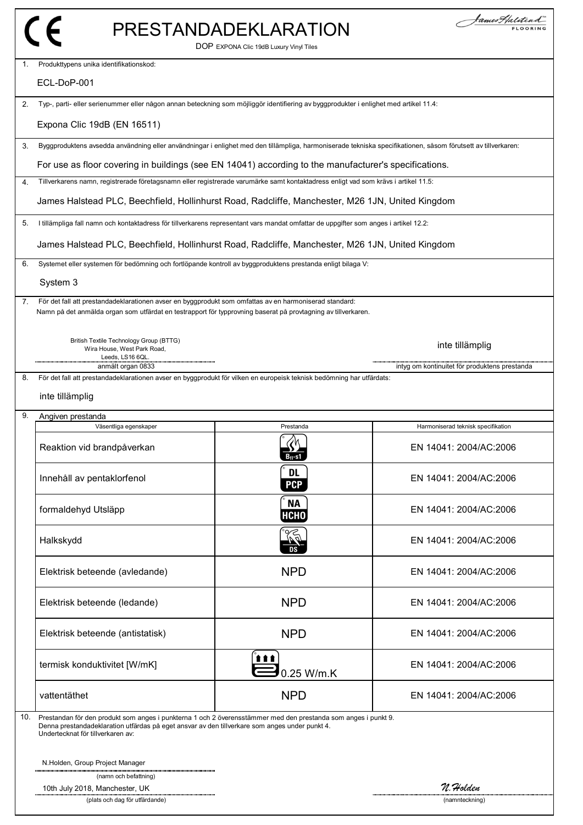|     |                                                                                                                                                                                                                                                       | PRESTANDADEKLARATION<br>DOP EXPONA Clic 19dB Luxury Vinyl Tiles | James Halitead                                |
|-----|-------------------------------------------------------------------------------------------------------------------------------------------------------------------------------------------------------------------------------------------------------|-----------------------------------------------------------------|-----------------------------------------------|
| 1.  | Produkttypens unika identifikationskod:                                                                                                                                                                                                               |                                                                 |                                               |
|     | ECL-DoP-001                                                                                                                                                                                                                                           |                                                                 |                                               |
| 2.  | Typ-, parti- eller serienummer eller någon annan beteckning som möjliggör identifiering av byggprodukter i enlighet med artikel 11.4:                                                                                                                 |                                                                 |                                               |
|     | Expona Clic 19dB (EN 16511)                                                                                                                                                                                                                           |                                                                 |                                               |
| 3.  | Byggproduktens avsedda användning eller användningar i enlighet med den tillämpliga, harmoniserade tekniska specifikationen, såsom förutsett av tillverkaren:                                                                                         |                                                                 |                                               |
|     | For use as floor covering in buildings (see EN 14041) according to the manufacturer's specifications.                                                                                                                                                 |                                                                 |                                               |
| 4.  | Tillverkarens namn, registrerade företagsnamn eller registrerade varumärke samt kontaktadress enligt vad som krävs i artikel 11.5:                                                                                                                    |                                                                 |                                               |
|     | James Halstead PLC, Beechfield, Hollinhurst Road, Radcliffe, Manchester, M26 1JN, United Kingdom                                                                                                                                                      |                                                                 |                                               |
| 5.  | I tillämpliga fall namn och kontaktadress för tillverkarens representant vars mandat omfattar de uppgifter som anges i artikel 12.2:                                                                                                                  |                                                                 |                                               |
|     | James Halstead PLC, Beechfield, Hollinhurst Road, Radcliffe, Manchester, M26 1JN, United Kingdom                                                                                                                                                      |                                                                 |                                               |
| 6.  | Systemet eller systemen för bedömning och fortlöpande kontroll av byggproduktens prestanda enligt bilaga V:                                                                                                                                           |                                                                 |                                               |
|     | System 3                                                                                                                                                                                                                                              |                                                                 |                                               |
| 7.  | För det fall att prestandadeklarationen avser en byggprodukt som omfattas av en harmoniserad standard:<br>Namn på det anmälda organ som utfärdat en testrapport för typprovning baserat på provtagning av tillverkaren.                               |                                                                 |                                               |
|     | British Textile Technology Group (BTTG)<br>Wira House, West Park Road,<br>Leeds, LS16 6QL.                                                                                                                                                            |                                                                 | inte tillämplig                               |
| 8.  | anmält organ 0833<br>För det fall att prestandadeklarationen avser en byggprodukt för vilken en europeisk teknisk bedömning har utfärdats:                                                                                                            |                                                                 | intyg om kontinuitet för produktens prestanda |
|     | inte tillämplig                                                                                                                                                                                                                                       |                                                                 |                                               |
| 9.  | Angiven prestanda                                                                                                                                                                                                                                     |                                                                 |                                               |
|     | Väsentliga egenskaper                                                                                                                                                                                                                                 | Prestanda                                                       | Harmoniserad teknisk specifikation            |
|     | Reaktion vid brandpåverkan                                                                                                                                                                                                                            | 2M<br>"<br>$B_{fl}$ -s1                                         | EN 14041: 2004/AC:2006                        |
|     | Innehåll av pentaklorfenol                                                                                                                                                                                                                            | <b>DL</b><br><b>PCP</b>                                         | EN 14041: 2004/AC:2006                        |
|     | formaldehyd Utsläpp                                                                                                                                                                                                                                   | <b>NA</b><br><b>НСНО</b>                                        | EN 14041: 2004/AC:2006                        |
|     | Halkskydd                                                                                                                                                                                                                                             | R)<br>Dal                                                       | EN 14041: 2004/AC:2006                        |
|     | Elektrisk beteende (avledande)                                                                                                                                                                                                                        | <b>NPD</b>                                                      | EN 14041: 2004/AC:2006                        |
|     | Elektrisk beteende (ledande)                                                                                                                                                                                                                          | <b>NPD</b>                                                      | EN 14041: 2004/AC:2006                        |
|     | Elektrisk beteende (antistatisk)                                                                                                                                                                                                                      | <b>NPD</b>                                                      | EN 14041: 2004/AC:2006                        |
|     | termisk konduktivitet [W/mK]                                                                                                                                                                                                                          | 111<br>0.25 W/m.K                                               | EN 14041: 2004/AC:2006                        |
|     | vattentäthet                                                                                                                                                                                                                                          | <b>NPD</b>                                                      | EN 14041: 2004/AC:2006                        |
| 10. | Prestandan för den produkt som anges i punkterna 1 och 2 överensstämmer med den prestanda som anges i punkt 9.<br>Denna prestandadeklaration utfärdas på eget ansvar av den tillverkare som anges under punkt 4.<br>Undertecknat för tillverkaren av: |                                                                 |                                               |
|     | N.Holden, Group Project Manager                                                                                                                                                                                                                       |                                                                 |                                               |
|     | (namn och befattning)<br>10th July 2018, Manchester, UK<br>(plats och dag för utfärdande)                                                                                                                                                             |                                                                 | n. Holden<br>(namnteckning)                   |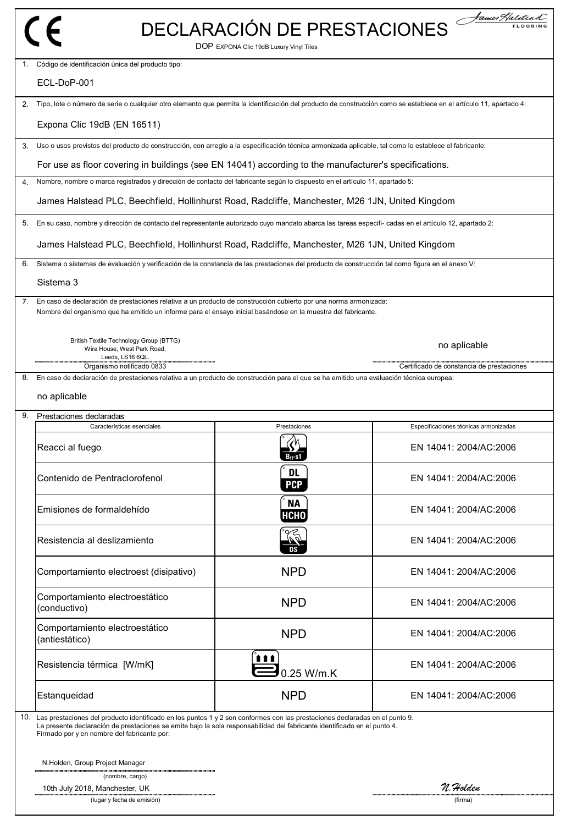| $f \in$                                                                                                                                                                                                                                                                                                    | DOP EXPONA Clic 19dB Luxury Vinyl Tiles | DECLARACIÓN DE PRESTACIONES               |
|------------------------------------------------------------------------------------------------------------------------------------------------------------------------------------------------------------------------------------------------------------------------------------------------------------|-----------------------------------------|-------------------------------------------|
| 1. Código de identificación única del producto tipo:                                                                                                                                                                                                                                                       |                                         |                                           |
| ECL-DoP-001                                                                                                                                                                                                                                                                                                |                                         |                                           |
| Tipo, lote o número de serie o cualquier otro elemento que permita la identificación del producto de construcción como se establece en el artículo 11, apartado 4:<br>2.                                                                                                                                   |                                         |                                           |
| Expona Clic 19dB (EN 16511)                                                                                                                                                                                                                                                                                |                                         |                                           |
| Uso o usos previstos del producto de construcción, con arreglo a la especificación técnica armonizada aplicable, tal como lo establece el fabricante:<br>3.                                                                                                                                                |                                         |                                           |
| For use as floor covering in buildings (see EN 14041) according to the manufacturer's specifications.                                                                                                                                                                                                      |                                         |                                           |
| Nombre, nombre o marca registrados y dirección de contacto del fabricante según lo dispuesto en el artículo 11, apartado 5:<br>4.                                                                                                                                                                          |                                         |                                           |
| James Halstead PLC, Beechfield, Hollinhurst Road, Radcliffe, Manchester, M26 1JN, United Kingdom                                                                                                                                                                                                           |                                         |                                           |
| En su caso, nombre y dirección de contacto del representante autorizado cuyo mandato abarca las tareas especifi-cadas en el artículo 12, apartado 2:<br>5.                                                                                                                                                 |                                         |                                           |
| James Halstead PLC, Beechfield, Hollinhurst Road, Radcliffe, Manchester, M26 1JN, United Kingdom                                                                                                                                                                                                           |                                         |                                           |
| Sistema o sistemas de evaluación y verificación de la constancia de las prestaciones del producto de construcción tal como figura en el anexo V:<br>6.                                                                                                                                                     |                                         |                                           |
| Sistema 3                                                                                                                                                                                                                                                                                                  |                                         |                                           |
| En caso de declaración de prestaciones relativa a un producto de construcción cubierto por una norma armonizada:<br>7.<br>Nombre del organismo que ha emitido un informe para el ensayo inicial basándose en la muestra del fabricante.                                                                    |                                         |                                           |
| British Textile Technology Group (BTTG)<br>Wira House, West Park Road,<br>Leeds, LS16 6QL                                                                                                                                                                                                                  |                                         | no aplicable                              |
| Organismo notificado 0833<br>En caso de declaración de prestaciones relativa a un producto de construcción para el que se ha emitido una evaluación técnica europea:<br>8.                                                                                                                                 |                                         | Certificado de constancia de prestaciones |
| no aplicable                                                                                                                                                                                                                                                                                               |                                         |                                           |
| 9.<br>Prestaciones declaradas<br>Características esenciales                                                                                                                                                                                                                                                | Prestaciones                            | Especificaciones técnicas armonizadas     |
| Reacci al fuego                                                                                                                                                                                                                                                                                            |                                         | EN 14041: 2004/AC:2006                    |
| Contenido de Pentraclorofenol                                                                                                                                                                                                                                                                              | <b>DL</b><br><b>PCP</b>                 | EN 14041: 2004/AC:2006                    |
| Emisiones de formaldehído                                                                                                                                                                                                                                                                                  | <b>NA</b><br><b>HCHO</b>                | EN 14041: 2004/AC:2006                    |
| Resistencia al deslizamiento                                                                                                                                                                                                                                                                               |                                         | EN 14041: 2004/AC:2006                    |
| Comportamiento electroest (disipativo)                                                                                                                                                                                                                                                                     | <b>NPD</b>                              | EN 14041: 2004/AC:2006                    |
| Comportamiento electroestático<br>(conductivo)                                                                                                                                                                                                                                                             | <b>NPD</b>                              | EN 14041: 2004/AC:2006                    |
| Comportamiento electroestático<br>(antiestático)                                                                                                                                                                                                                                                           | <b>NPD</b>                              | EN 14041: 2004/AC:2006                    |
| Resistencia térmica [W/mK]                                                                                                                                                                                                                                                                                 | <b>ttt</b><br>0.25 W/m.K                | EN 14041: 2004/AC:2006                    |
| Estanqueidad                                                                                                                                                                                                                                                                                               | <b>NPD</b>                              | EN 14041: 2004/AC:2006                    |
| 10. Las prestaciones del producto identificado en los puntos 1 y 2 son conformes con las prestaciones declaradas en el punto 9.<br>La presente declaración de prestaciones se emite bajo la sola responsabilidad del fabricante identificado en el punto 4.<br>Firmado por y en nombre del fabricante por: |                                         |                                           |
| N.Holden, Group Project Manager<br>(nombre, cargo)                                                                                                                                                                                                                                                         |                                         |                                           |
| 10th July 2018, Manchester, UK<br>(lugar y fecha de emisión)                                                                                                                                                                                                                                               |                                         | n. Holden<br>(firma)                      |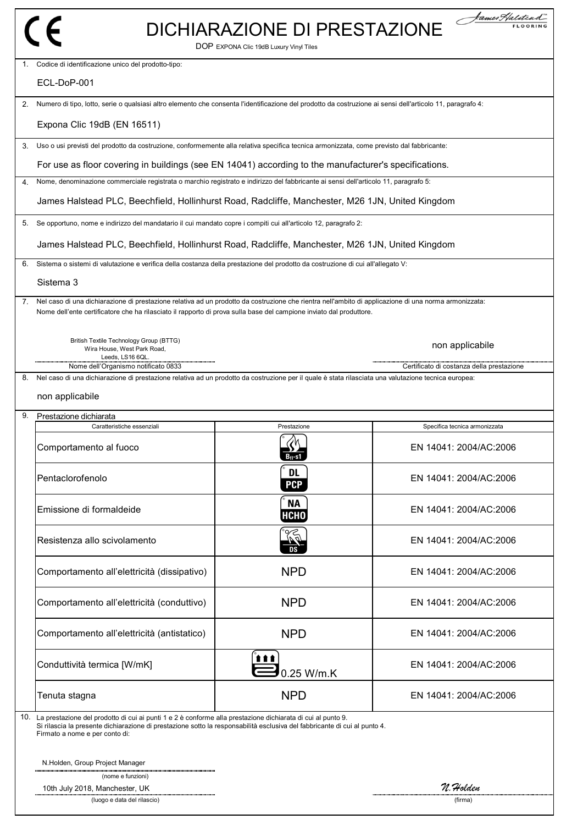|    |                                                                                                                                                                                                                                                                                | DICHIARAZIONE DI PRESTAZIONE            | fames Halitead                            |
|----|--------------------------------------------------------------------------------------------------------------------------------------------------------------------------------------------------------------------------------------------------------------------------------|-----------------------------------------|-------------------------------------------|
|    |                                                                                                                                                                                                                                                                                | DOP EXPONA Clic 19dB Luxury Vinyl Tiles |                                           |
|    | 1. Codice di identificazione unico del prodotto-tipo:                                                                                                                                                                                                                          |                                         |                                           |
|    | ECL-DoP-001                                                                                                                                                                                                                                                                    |                                         |                                           |
| 2. | Numero di tipo, lotto, serie o qualsiasi altro elemento che consenta l'identificazione del prodotto da costruzione ai sensi dell'articolo 11, paragrafo 4:                                                                                                                     |                                         |                                           |
|    | Expona Clic 19dB (EN 16511)                                                                                                                                                                                                                                                    |                                         |                                           |
| 3. | Uso o usi previsti del prodotto da costruzione, conformemente alla relativa specifica tecnica armonizzata, come previsto dal fabbricante:                                                                                                                                      |                                         |                                           |
|    | For use as floor covering in buildings (see EN 14041) according to the manufacturer's specifications.                                                                                                                                                                          |                                         |                                           |
| 4. | Nome, denominazione commerciale registrata o marchio registrato e indirizzo del fabbricante ai sensi dell'articolo 11, paragrafo 5:                                                                                                                                            |                                         |                                           |
|    | James Halstead PLC, Beechfield, Hollinhurst Road, Radcliffe, Manchester, M26 1JN, United Kingdom                                                                                                                                                                               |                                         |                                           |
|    | Se opportuno, nome e indirizzo del mandatario il cui mandato copre i compiti cui all'articolo 12, paragrafo 2:                                                                                                                                                                 |                                         |                                           |
|    | James Halstead PLC, Beechfield, Hollinhurst Road, Radcliffe, Manchester, M26 1JN, United Kingdom                                                                                                                                                                               |                                         |                                           |
| 6. | Sistema o sistemi di valutazione e verifica della costanza della prestazione del prodotto da costruzione di cui all'allegato V:                                                                                                                                                |                                         |                                           |
|    | Sistema 3                                                                                                                                                                                                                                                                      |                                         |                                           |
| 7. | Nel caso di una dichiarazione di prestazione relativa ad un prodotto da costruzione che rientra nell'ambito di applicazione di una norma armonizzata:                                                                                                                          |                                         |                                           |
|    | Nome dell'ente certificatore che ha rilasciato il rapporto di prova sulla base del campione inviato dal produttore.                                                                                                                                                            |                                         |                                           |
|    | British Textile Technology Group (BTTG)<br>Wira House, West Park Road,                                                                                                                                                                                                         |                                         | non applicabile                           |
|    | Leeds, LS16 6QL.                                                                                                                                                                                                                                                               |                                         |                                           |
| 8. | Nome dell'Organismo notificato 0833<br>Nel caso di una dichiarazione di prestazione relativa ad un prodotto da costruzione per il quale è stata rilasciata una valutazione tecnica europea:                                                                                    |                                         | Certificato di costanza della prestazione |
|    | non applicabile                                                                                                                                                                                                                                                                |                                         |                                           |
| 9. | Prestazione dichiarata                                                                                                                                                                                                                                                         |                                         |                                           |
|    | Caratteristiche essenziali                                                                                                                                                                                                                                                     | Prestazione                             | Specifica tecnica armonizzata             |
|    | Comportamento al fuoco                                                                                                                                                                                                                                                         |                                         | EN 14041: 2004/AC:2006                    |
|    | Pentaclorofenolo                                                                                                                                                                                                                                                               | DL<br><b>PCP</b>                        | EN 14041: 2004/AC:2006                    |
|    | Emissione di formaldeide                                                                                                                                                                                                                                                       | <b>NA</b><br><b>HCHO</b>                | EN 14041: 2004/AC:2006                    |
|    | Resistenza allo scivolamento                                                                                                                                                                                                                                                   |                                         | EN 14041: 2004/AC:2006                    |
|    | Comportamento all'elettricità (dissipativo)                                                                                                                                                                                                                                    | <b>NPD</b>                              | EN 14041: 2004/AC:2006                    |
|    | Comportamento all'elettricità (conduttivo)                                                                                                                                                                                                                                     | <b>NPD</b>                              | EN 14041: 2004/AC:2006                    |
|    | Comportamento all'elettricità (antistatico)                                                                                                                                                                                                                                    | <b>NPD</b>                              | EN 14041: 2004/AC:2006                    |
|    | Conduttività termica [W/mK]                                                                                                                                                                                                                                                    | 111<br>0.25 W/m.K                       | EN 14041: 2004/AC:2006                    |
|    | Tenuta stagna                                                                                                                                                                                                                                                                  | <b>NPD</b>                              | EN 14041: 2004/AC:2006                    |
|    | 10. La prestazione del prodotto di cui ai punti 1 e 2 è conforme alla prestazione dichiarata di cui al punto 9.<br>Si rilascia la presente dichiarazione di prestazione sotto la responsabilità esclusiva del fabbricante di cui al punto 4.<br>Firmato a nome e per conto di: |                                         |                                           |
|    | N.Holden, Group Project Manager<br>(nome e funzioni)                                                                                                                                                                                                                           |                                         |                                           |
|    | 10th July 2018, Manchester, UK                                                                                                                                                                                                                                                 |                                         | n. Holden                                 |

(luogo e data del rilascio) (firma)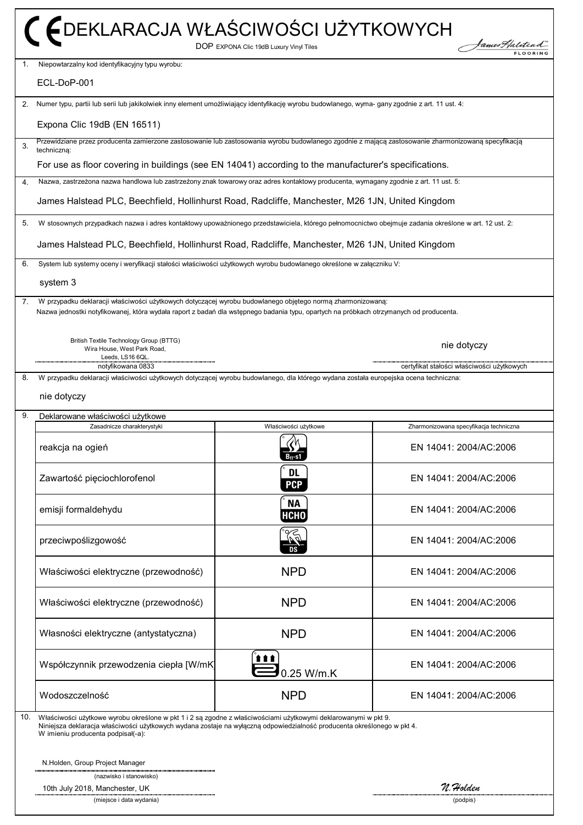|     | C EDEKLARACJA WŁAŚCIWOŚCI UŻYTKOWYCH<br>bames Halitea<br>DOP EXPONA Clic 19dB Luxury Vinyl Tiles                                                                                                                                                                                |                            |                                            |
|-----|---------------------------------------------------------------------------------------------------------------------------------------------------------------------------------------------------------------------------------------------------------------------------------|----------------------------|--------------------------------------------|
| 1.  | Niepowtarzalny kod identyfikacyjny typu wyrobu:<br>ECL-DoP-001                                                                                                                                                                                                                  |                            |                                            |
|     |                                                                                                                                                                                                                                                                                 |                            |                                            |
| 2.  | Numer typu, partii lub serii lub jakikolwiek inny element umożliwiający identyfikację wyrobu budowlanego, wyma- gany zgodnie z art. 11 ust. 4:                                                                                                                                  |                            |                                            |
|     | Expona Clic 19dB (EN 16511)                                                                                                                                                                                                                                                     |                            |                                            |
| 3.  | Przewidziane przez producenta zamierzone zastosowanie lub zastosowania wyrobu budowlanego zgodnie z mającą zastosowanie zharmonizowaną specyfikacją<br>techniczna:                                                                                                              |                            |                                            |
|     | For use as floor covering in buildings (see EN 14041) according to the manufacturer's specifications.                                                                                                                                                                           |                            |                                            |
| 4.  | Nazwa, zastrzeżona nazwa handlowa lub zastrzeżony znak towarowy oraz adres kontaktowy producenta, wymagany zgodnie z art. 11 ust. 5:                                                                                                                                            |                            |                                            |
|     | James Halstead PLC, Beechfield, Hollinhurst Road, Radcliffe, Manchester, M26 1JN, United Kingdom                                                                                                                                                                                |                            |                                            |
| 5.  | W stosownych przypadkach nazwa i adres kontaktowy upoważnionego przedstawiciela, którego pełnomocnictwo obejmuje zadania określone w art. 12 ust. 2:                                                                                                                            |                            |                                            |
|     | James Halstead PLC, Beechfield, Hollinhurst Road, Radcliffe, Manchester, M26 1JN, United Kingdom                                                                                                                                                                                |                            |                                            |
| 6.  | System lub systemy oceny i weryfikacji stałości właściwości użytkowych wyrobu budowlanego określone w załączniku V:                                                                                                                                                             |                            |                                            |
|     | system 3                                                                                                                                                                                                                                                                        |                            |                                            |
| 7.  | W przypadku deklaracji właściwości użytkowych dotyczącej wyrobu budowlanego objętego normą zharmonizowaną:<br>Nazwa jednostki notyfikowanej, która wydała raport z badań dla wstępnego badania typu, opartych na próbkach otrzymanych od producenta.                            |                            |                                            |
|     | British Textile Technology Group (BTTG)<br>Wira House, West Park Road,<br>Leeds, LS16 6QL.                                                                                                                                                                                      |                            | nie dotyczy                                |
| 8.  | notyfikowana 0833<br>W przypadku deklaracji właściwości użytkowych dotyczącej wyrobu budowlanego, dla którego wydana została europejska ocena techniczna:                                                                                                                       |                            | certyfikat stałości właściwości użytkowych |
|     | nie dotyczy                                                                                                                                                                                                                                                                     |                            |                                            |
| 9.  | Deklarowane właściwości użytkowe                                                                                                                                                                                                                                                |                            |                                            |
|     | Zasadnicze charakterystyki                                                                                                                                                                                                                                                      | Właściwości użytkowe       | Zharmonizowana specyfikacja techniczna     |
|     | reakcja na ogień                                                                                                                                                                                                                                                                | 9h<br>D) 2<br>$B_{fl}$ -s1 | EN 14041: 2004/AC:2006                     |
|     | Zawartość pięciochlorofenol                                                                                                                                                                                                                                                     | <b>DL</b><br><b>PCP</b>    | EN 14041: 2004/AC:2006                     |
|     | emisji formaldehydu                                                                                                                                                                                                                                                             | <b>NA</b><br><b>HCHO</b>   | EN 14041: 2004/AC:2006                     |
|     | przeciwpoślizgowość                                                                                                                                                                                                                                                             | DS                         | EN 14041: 2004/AC:2006                     |
|     | Właściwości elektryczne (przewodność)                                                                                                                                                                                                                                           | <b>NPD</b>                 | EN 14041: 2004/AC:2006                     |
|     | Właściwości elektryczne (przewodność)                                                                                                                                                                                                                                           | <b>NPD</b>                 | EN 14041: 2004/AC:2006                     |
|     | Własności elektryczne (antystatyczna)                                                                                                                                                                                                                                           | <b>NPD</b>                 | EN 14041: 2004/AC:2006                     |
|     | Współczynnik przewodzenia ciepła [W/mK]                                                                                                                                                                                                                                         | <b>ttt</b><br>0.25 W/m.K   | EN 14041: 2004/AC:2006                     |
|     | Wodoszczelność                                                                                                                                                                                                                                                                  | <b>NPD</b>                 | EN 14041: 2004/AC:2006                     |
| 10. |                                                                                                                                                                                                                                                                                 |                            |                                            |
|     | Właściwości użytkowe wyrobu określone w pkt 1 i 2 są zgodne z właściwościami użytkowymi deklarowanymi w pkt 9.<br>Niniejsza deklaracja właściwości użytkowych wydana zostaje na wyłączną odpowiedzialność producenta określonego w pkt 4.<br>W imieniu producenta podpisał(-a): |                            |                                            |
|     | N.Holden, Group Project Manager                                                                                                                                                                                                                                                 |                            |                                            |
|     | (nazwisko i stanowisko)<br>10th July 2018, Manchester, UK                                                                                                                                                                                                                       |                            | N. Holden                                  |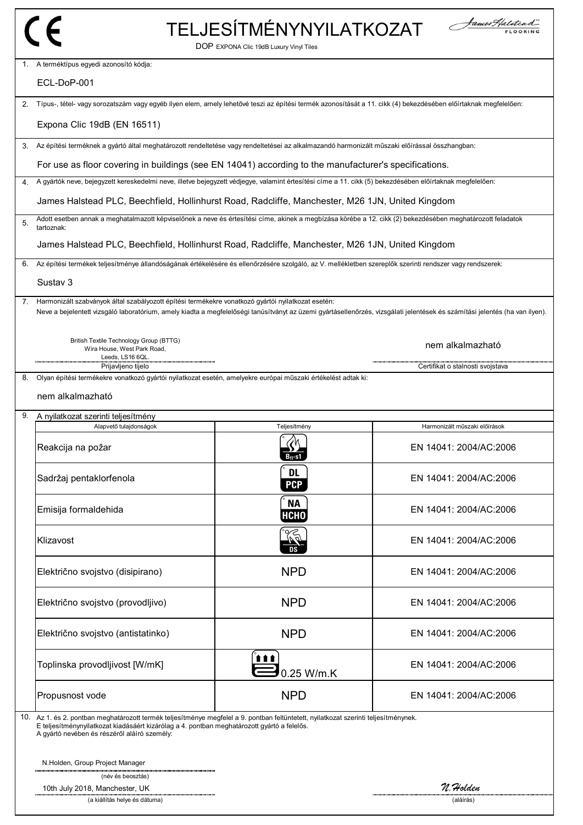| P<br>$\mathcal{C}_{\mathcal{C}}$<br>صرا |  |  |   |
|-----------------------------------------|--|--|---|
|                                         |  |  | ╰ |
|                                         |  |  |   |
|                                         |  |  |   |
|                                         |  |  |   |
|                                         |  |  |   |
|                                         |  |  |   |
|                                         |  |  |   |
|                                         |  |  |   |

1.

2.

# TELJESÍTMÉNYNYILATKOZAT





nem alkalmazható

| A terméktípus egyedi azonosító kódja: |  |  |
|---------------------------------------|--|--|
|                                       |  |  |

ECL-DoP-001

Típus-, tétel- vagy sorozatszám vagy egyéb ilyen elem, amely lehetővé teszi az építési termék azonosítását a 11. cikk (4) bekezdésében előírtaknak megfelelően:

Expona Clic 19dB (EN 16511)

3. Az építési terméknek a gyártó által meghatározott rendeltetése vagy rendeltetései az alkalmazandó harmonizált műszaki előírással összhangban:

For use as floor covering in buildings (see EN 14041) according to the manufacturer's specifications.

4. A gyártók neve, bejegyzett kereskedelmi neve, illetve bejegyzett védjegye, valamint értesítési címe a 11. cikk (5) bekezdésében előírtaknak megfelelően:

James Halstead PLC, Beechfield, Hollinhurst Road, Radcliffe, Manchester, M26 1JN, United Kingdom

5. Adott esetben annak a meghatalmazott képviselőnek a neve és értesítési címe, akinek a megbízása körébe a 12. cikk (2) bekezdésében meghatározott feladatok tartoznak:

James Halstead PLC, Beechfield, Hollinhurst Road, Radcliffe, Manchester, M26 1JN, United Kingdom

6. Az építési termékek teljesítménye állandóságának értékelésére és ellenőrzésére szolgáló, az V. mellékletben szereplők szerinti rendszer vagy rendszerek:

#### Sustav 3

7. Harmonizált szabványok által szabályozott építési termékekre vonatkozó gyártói nyilatkozat esetén: Neve a bejelentett vizsgáló laboratórium, amely kiadta a megfelelőségi tanúsítványt az üzemi gyártásellenőrzés, vizsgálati jelentések és számítási jelentés (ha van ilyen).

British Textile Technology Group (BTTG) Wira House, West Park Road, Leeds, LS16 6QL. Prijavljeno tijelo Certifikat o stalnosti svojstava

8. Olyan építési termékekre vonatkozó gyártói nyilatkozat esetén, amelyekre európai műszaki értékelést adtak ki:

#### nem alkalmazható

#### 9. A nyilatkozat szerinti teljesítmény

| Alapvető tulajdonságok             | Teljesítmény            | Harmonizált műszaki előírások |
|------------------------------------|-------------------------|-------------------------------|
| Reakcija na požar                  | $B_{11}$ -s1            | EN 14041: 2004/AC:2006        |
| Sadržaj pentaklorfenola            | <b>DL</b><br><b>PCP</b> | EN 14041: 2004/AC:2006        |
| Emisija formaldehida               | <b>NA</b><br>HCHO       | EN 14041: 2004/AC:2006        |
| Klizavost                          | $\sqrt{a^2}$<br>DS      | EN 14041: 2004/AC:2006        |
| Električno svojstvo (disipirano)   | <b>NPD</b>              | EN 14041: 2004/AC:2006        |
| Električno svojstvo (provodljivo)  | <b>NPD</b>              | EN 14041: 2004/AC:2006        |
| Električno svojstvo (antistatinko) | <b>NPD</b>              | EN 14041: 2004/AC:2006        |
| Toplinska provodljivost [W/mK]     | ▌▌<br>0.25 W/m.K        | EN 14041: 2004/AC:2006        |
| Propusnost vode                    | <b>NPD</b>              | EN 14041: 2004/AC:2006        |

10. Az 1. és 2. pontban meghatározott termék teljesítménye megfelel a 9. pontban feltüntetett, nyilatkozat szerinti teljesítménynek.

E teljesítménynyilatkozat kiadásáért kizárólag a 4. pontban meghatározott gyártó a felelős.

A gyártó nevében és részéről aláíró személy:

N.Holden, Group Project Manager

(név és beosztás)

10th July 2018, Manchester, UK **10th July 2018, Manchester, UK N.Holden 10th July 2018, Manchester, UK** *N.Holden**N.Holden* **<b>10th** (a kiállítás helye és dátuma) (a kiállítás helye és dátuma)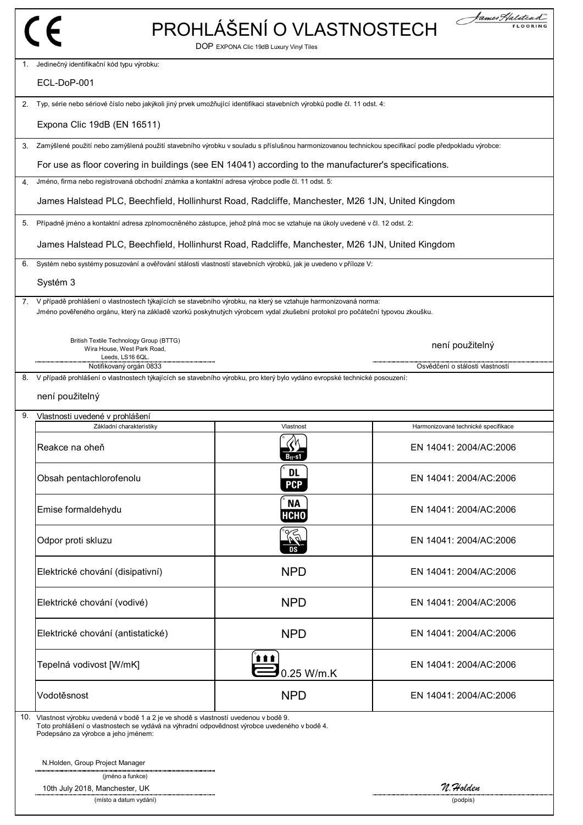|    |                                                                                                                                                                                                                                                     | PROHLÁŠENÍ O VLASTNOSTECH<br>DOP EXPONA Clic 19dB Luxury Vinyl Tiles | James Halitead                      |
|----|-----------------------------------------------------------------------------------------------------------------------------------------------------------------------------------------------------------------------------------------------------|----------------------------------------------------------------------|-------------------------------------|
|    | Jedinečný identifikační kód typu výrobku:                                                                                                                                                                                                           |                                                                      |                                     |
|    | ECL-DoP-001                                                                                                                                                                                                                                         |                                                                      |                                     |
| 2. | Typ, série nebo sériové číslo nebo jakýkoli jiný prvek umožňující identifikaci stavebních výrobků podle čl. 11 odst. 4:                                                                                                                             |                                                                      |                                     |
|    | Expona Clic 19dB (EN 16511)                                                                                                                                                                                                                         |                                                                      |                                     |
| 3. | Zamýšlené použití nebo zamýšlená použití stavebního výrobku v souladu s příslušnou harmonizovanou technickou specifikací podle předpokladu výrobce:                                                                                                 |                                                                      |                                     |
|    | For use as floor covering in buildings (see EN 14041) according to the manufacturer's specifications.                                                                                                                                               |                                                                      |                                     |
| 4. | Jméno, firma nebo registrovaná obchodní známka a kontaktní adresa výrobce podle čl. 11 odst. 5:                                                                                                                                                     |                                                                      |                                     |
|    | James Halstead PLC, Beechfield, Hollinhurst Road, Radcliffe, Manchester, M26 1JN, United Kingdom                                                                                                                                                    |                                                                      |                                     |
| 5. | Případně jméno a kontaktní adresa zplnomocněného zástupce, jehož plná moc se vztahuje na úkoly uvedené v čl. 12 odst. 2:                                                                                                                            |                                                                      |                                     |
|    | James Halstead PLC, Beechfield, Hollinhurst Road, Radcliffe, Manchester, M26 1JN, United Kingdom                                                                                                                                                    |                                                                      |                                     |
| 6. | Systém nebo systémy posuzování a ověřování stálosti vlastností stavebních výrobků, jak je uvedeno v příloze V:                                                                                                                                      |                                                                      |                                     |
|    | Systém 3                                                                                                                                                                                                                                            |                                                                      |                                     |
|    | 7. V případě prohlášení o vlastnostech týkajících se stavebního výrobku, na který se vztahuje harmonizovaná norma:<br>Jméno pověřeného orgánu, který na základě vzorků poskytnutých výrobcem vydal zkušební protokol pro počáteční typovou zkoušku. |                                                                      |                                     |
|    | British Textile Technology Group (BTTG)<br>Wira House, West Park Road,<br>Leeds, LS16 6QL                                                                                                                                                           |                                                                      | není použitelný                     |
| 8. | Notifikovaný orgán 0833<br>V případě prohlášení o vlastnostech týkajících se stavebního výrobku, pro který bylo vydáno evropské technické posouzení:                                                                                                |                                                                      | Osvědčení o stálosti vlastností     |
|    | není použitelný                                                                                                                                                                                                                                     |                                                                      |                                     |
| 9. | Vlastnosti uvedené v prohlášení<br>Základní charakteristiky                                                                                                                                                                                         | Vlastnost                                                            | Harmonizované technické specifikace |
|    | Reakce na oheň                                                                                                                                                                                                                                      |                                                                      | EN 14041: 2004/AC:2006              |
|    | Obsah pentachlorofenolu                                                                                                                                                                                                                             | <b>DL</b><br><b>PCP</b>                                              | EN 14041: 2004/AC:2006              |
|    | Emise formaldehydu                                                                                                                                                                                                                                  | <b>NA</b><br><b>НСНО</b>                                             | EN 14041: 2004/AC:2006              |
|    | Odpor proti skluzu                                                                                                                                                                                                                                  | 96<br>DS                                                             | EN 14041: 2004/AC:2006              |
|    | Elektrické chování (disipativní)                                                                                                                                                                                                                    | <b>NPD</b>                                                           | EN 14041: 2004/AC:2006              |
|    | Elektrické chování (vodivé)                                                                                                                                                                                                                         | <b>NPD</b>                                                           | EN 14041: 2004/AC:2006              |
|    | Elektrické chování (antistatické)                                                                                                                                                                                                                   | <b>NPD</b>                                                           | EN 14041: 2004/AC:2006              |
|    | Tepelná vodivost [W/mK]                                                                                                                                                                                                                             | 111<br>0.25 W/m.K                                                    | EN 14041: 2004/AC:2006              |
|    | Vodotěsnost                                                                                                                                                                                                                                         | <b>NPD</b>                                                           | EN 14041: 2004/AC:2006              |
|    | 10. Vlastnost výrobku uvedená v bodě 1 a 2 je ve shodě s vlastností uvedenou v bodě 9.<br>Toto prohlášení o vlastnostech se vydává na výhradní odpovědnost výrobce uvedeného v bodě 4.<br>Podepsáno za výrobce a jeho jménem:                       |                                                                      |                                     |
|    | N.Holden, Group Project Manager<br>(jméno a funkce)                                                                                                                                                                                                 |                                                                      |                                     |
|    | 10th July 2018, Manchester, UK<br>(místo a datum vydání)                                                                                                                                                                                            |                                                                      | n. Holden<br>(podpis)               |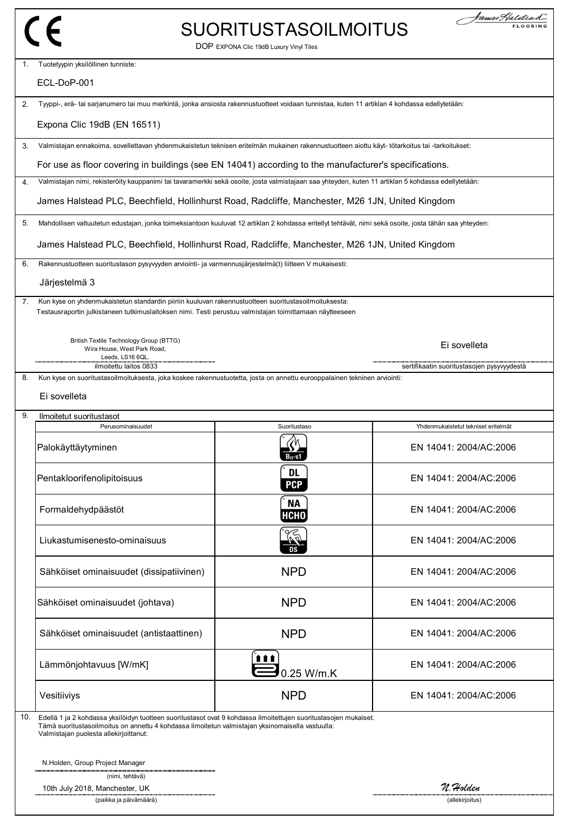|     |                                                                                                                                                                                                                                                                | <b>SUORITUSTASOILMOITUS</b><br>DOP EXPONA Clic 19dB Luxury Vinyl Tiles | James Halitead                             |
|-----|----------------------------------------------------------------------------------------------------------------------------------------------------------------------------------------------------------------------------------------------------------------|------------------------------------------------------------------------|--------------------------------------------|
| 1.  | Tuotetyypin yksilöllinen tunniste:                                                                                                                                                                                                                             |                                                                        |                                            |
|     | ECL-DoP-001                                                                                                                                                                                                                                                    |                                                                        |                                            |
| 2.  | Tyyppi-, erä- tai sarjanumero tai muu merkintä, jonka ansiosta rakennustuotteet voidaan tunnistaa, kuten 11 artiklan 4 kohdassa edellytetään:                                                                                                                  |                                                                        |                                            |
|     | Expona Clic 19dB (EN 16511)                                                                                                                                                                                                                                    |                                                                        |                                            |
| 3.  | Valmistajan ennakoima, sovellettavan yhdenmukaistetun teknisen eritelmän mukainen rakennustuotteen aiottu käyt- tötarkoitus tai -tarkoitukset:                                                                                                                 |                                                                        |                                            |
|     | For use as floor covering in buildings (see EN 14041) according to the manufacturer's specifications.                                                                                                                                                          |                                                                        |                                            |
| 4.  | Valmistajan nimi, rekisteröity kauppanimi tai tavaramerkki sekä osoite, josta valmistajaan saa yhteyden, kuten 11 artiklan 5 kohdassa edellytetään:                                                                                                            |                                                                        |                                            |
|     | James Halstead PLC, Beechfield, Hollinhurst Road, Radcliffe, Manchester, M26 1JN, United Kingdom                                                                                                                                                               |                                                                        |                                            |
| 5.  | Mahdollisen valtuutetun edustajan, jonka toimeksiantoon kuuluvat 12 artiklan 2 kohdassa eritellyt tehtävät, nimi sekä osoite, josta tähän saa yhteyden:                                                                                                        |                                                                        |                                            |
|     | James Halstead PLC, Beechfield, Hollinhurst Road, Radcliffe, Manchester, M26 1JN, United Kingdom                                                                                                                                                               |                                                                        |                                            |
| 6.  | Rakennustuotteen suoritustason pysyvyyden arviointi- ja varmennusjärjestelmä(t) liitteen V mukaisesti:                                                                                                                                                         |                                                                        |                                            |
|     | Järjestelmä 3                                                                                                                                                                                                                                                  |                                                                        |                                            |
| 7.  | Kun kyse on yhdenmukaistetun standardin piiriin kuuluvan rakennustuotteen suoritustasoilmoituksesta:<br>Testausraportin julkistaneen tutkimuslaitoksen nimi. Testi perustuu valmistajan toimittamaan näytteeseen                                               |                                                                        |                                            |
|     | British Textile Technology Group (BTTG)<br>Wira House, West Park Road,<br>Leeds, LS16 6QL                                                                                                                                                                      |                                                                        | Ei sovelleta                               |
| 8.  | ilmoitettu laitos 0833<br>Kun kyse on suoritustasoilmoituksesta, joka koskee rakennustuotetta, josta on annettu eurooppalainen tekninen arviointi:                                                                                                             |                                                                        | sertifikaatin suoritustasojen pysyvyydestä |
|     | Ei sovelleta                                                                                                                                                                                                                                                   |                                                                        |                                            |
| 9.  | Ilmoitetut suoritustasot<br>Perusominaisuudet                                                                                                                                                                                                                  | Suoritustaso                                                           | Yhdenmukaistetut tekniset eritelmät        |
|     | Palokäyttäytyminen                                                                                                                                                                                                                                             | 3. - s1                                                                | EN 14041: 2004/AC:2006                     |
|     | Pentakloorifenolipitoisuus                                                                                                                                                                                                                                     | <b>DL</b><br><b>PCP</b>                                                | EN 14041: 2004/AC:2006                     |
|     | Formaldehydpäästöt                                                                                                                                                                                                                                             | <b>NA</b><br><b>НСНО</b>                                               | EN 14041: 2004/AC:2006                     |
|     | Liukastumisenesto-ominaisuus                                                                                                                                                                                                                                   | 92                                                                     | EN 14041: 2004/AC:2006                     |
|     | Sähköiset ominaisuudet (dissipatiivinen)                                                                                                                                                                                                                       | <b>NPD</b>                                                             | EN 14041: 2004/AC:2006                     |
|     | Sähköiset ominaisuudet (johtava)                                                                                                                                                                                                                               | <b>NPD</b>                                                             | EN 14041: 2004/AC:2006                     |
|     | Sähköiset ominaisuudet (antistaattinen)                                                                                                                                                                                                                        | <b>NPD</b>                                                             | EN 14041: 2004/AC:2006                     |
|     | Lämmönjohtavuus [W/mK]                                                                                                                                                                                                                                         | 111<br>0.25 W/m.K                                                      | EN 14041: 2004/AC:2006                     |
|     | Vesitiiviys                                                                                                                                                                                                                                                    | <b>NPD</b>                                                             | EN 14041: 2004/AC:2006                     |
| 10. | Edellä 1 ja 2 kohdassa yksilöidyn tuotteen suoritustasot ovat 9 kohdassa ilmoitettujen suoritustasojen mukaiset.<br>Tämä suoritustasoilmoitus on annettu 4 kohdassa ilmoitetun valmistajan yksinomaisella vastuulla:<br>Valmistajan puolesta allekirjoittanut: |                                                                        |                                            |
|     | N.Holden, Group Project Manager                                                                                                                                                                                                                                |                                                                        |                                            |
|     | (nimi, tehtävä)                                                                                                                                                                                                                                                |                                                                        |                                            |
|     | 10th July 2018, Manchester, UK<br>(paikka ja päivämäärä)                                                                                                                                                                                                       |                                                                        | N. Holden<br>(allekirjoitus)               |
|     |                                                                                                                                                                                                                                                                |                                                                        |                                            |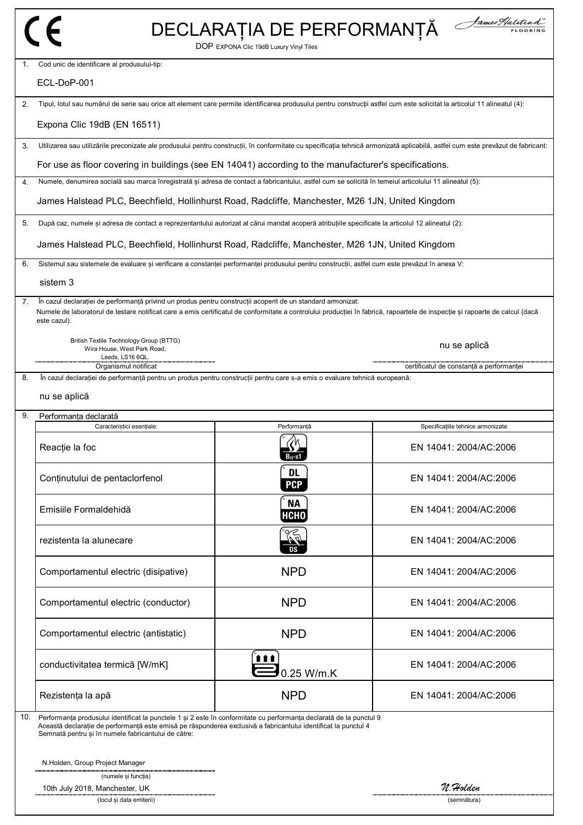|     |                                                                                                                                                                                                                                                                                                                                                        | DECLARAȚIA DE PERFORMANȚĂ<br>DOP EXPONA Clic 19dB Luxury Vinyl Tiles | James Halitead                                                                                                                                                                  |
|-----|--------------------------------------------------------------------------------------------------------------------------------------------------------------------------------------------------------------------------------------------------------------------------------------------------------------------------------------------------------|----------------------------------------------------------------------|---------------------------------------------------------------------------------------------------------------------------------------------------------------------------------|
| 1.  | Cod unic de identificare al produsului-tip:<br>ECL-DoP-001                                                                                                                                                                                                                                                                                             |                                                                      |                                                                                                                                                                                 |
| 2.  | Tipul, lotul sau numărul de serie sau orice alt element care permite identificarea produsului pentru construcții astfel cum este solicitat la articolul 11 alineatul (4):                                                                                                                                                                              |                                                                      |                                                                                                                                                                                 |
|     |                                                                                                                                                                                                                                                                                                                                                        |                                                                      |                                                                                                                                                                                 |
|     | Expona Clic 19dB (EN 16511)                                                                                                                                                                                                                                                                                                                            |                                                                      |                                                                                                                                                                                 |
| 3.  |                                                                                                                                                                                                                                                                                                                                                        |                                                                      | Utilizarea sau utilizările preconizate ale produsului pentru construcții, în conformitate cu specificația tehnică armonizată aplicabilă, astfel cum este prevăzut de fabricant: |
| 4.  | For use as floor covering in buildings (see EN 14041) according to the manufacturer's specifications.<br>Numele, denumirea socială sau marca înregistrată și adresa de contact a fabricantului, astfel cum se solicită în temeiul articolului 11 alineatul (5):                                                                                        |                                                                      |                                                                                                                                                                                 |
|     | James Halstead PLC, Beechfield, Hollinhurst Road, Radcliffe, Manchester, M26 1JN, United Kingdom                                                                                                                                                                                                                                                       |                                                                      |                                                                                                                                                                                 |
|     |                                                                                                                                                                                                                                                                                                                                                        |                                                                      |                                                                                                                                                                                 |
| 5.  | După caz, numele și adresa de contact a reprezentantului autorizat al cărui mandat acoperă atribuțiile specificate la articolul 12 alineatul (2):                                                                                                                                                                                                      |                                                                      |                                                                                                                                                                                 |
|     | James Halstead PLC, Beechfield, Hollinhurst Road, Radcliffe, Manchester, M26 1JN, United Kingdom                                                                                                                                                                                                                                                       |                                                                      |                                                                                                                                                                                 |
| 6.  | Sistemul sau sistemele de evaluare și verificare a constanței performanței produsului pentru construcții, astfel cum este prevăzut în anexa V:                                                                                                                                                                                                         |                                                                      |                                                                                                                                                                                 |
|     | sistem 3                                                                                                                                                                                                                                                                                                                                               |                                                                      |                                                                                                                                                                                 |
| 7.  | În cazul declarației de performanță privind un produs pentru construcții acoperit de un standard armonizat:<br>Numele de laboratorul de testare notificat care a emis certificatul de conformitate a controlului producției în fabrică, rapoartele de inspecție și rapoarte de calcul (dacă<br>este cazul).                                            |                                                                      |                                                                                                                                                                                 |
|     | British Textile Technology Group (BTTG)<br>Wira House, West Park Road,<br>Leeds, LS16 6QL.                                                                                                                                                                                                                                                             |                                                                      | nu se aplică                                                                                                                                                                    |
| 8.  | Organismul notificat<br>ln cazul declarației de performanță pentru un produs pentru construcții pentru care s-a emis o evaluare tehnică europeană:                                                                                                                                                                                                     |                                                                      | certificatul de constanță a performanței                                                                                                                                        |
|     | nu se aplică                                                                                                                                                                                                                                                                                                                                           |                                                                      |                                                                                                                                                                                 |
| 9.  | Performanta declarată<br>Caracteristici esentiale:                                                                                                                                                                                                                                                                                                     | Performantă                                                          | Specificatiile tehnice armonizate                                                                                                                                               |
|     | Reacție la foc                                                                                                                                                                                                                                                                                                                                         |                                                                      | EN 14041: 2004/AC:2006                                                                                                                                                          |
|     | Conținutului de pentaclorfenol                                                                                                                                                                                                                                                                                                                         | <b>DL</b><br><b>PCP</b>                                              | EN 14041: 2004/AC:2006                                                                                                                                                          |
|     | Emisiile Formaldehidă                                                                                                                                                                                                                                                                                                                                  | <b>NA</b><br>HCHO                                                    | EN 14041: 2004/AC:2006                                                                                                                                                          |
|     | rezistenta la alunecare                                                                                                                                                                                                                                                                                                                                |                                                                      | EN 14041: 2004/AC:2006                                                                                                                                                          |
|     | Comportamentul electric (disipative)                                                                                                                                                                                                                                                                                                                   | <b>NPD</b>                                                           | EN 14041: 2004/AC:2006                                                                                                                                                          |
|     | Comportamentul electric (conductor)                                                                                                                                                                                                                                                                                                                    | <b>NPD</b>                                                           | EN 14041: 2004/AC:2006                                                                                                                                                          |
|     | Comportamentul electric (antistatic)                                                                                                                                                                                                                                                                                                                   | <b>NPD</b>                                                           | EN 14041: 2004/AC:2006                                                                                                                                                          |
|     | conductivitatea termică [W/mK]                                                                                                                                                                                                                                                                                                                         | 0.25 W/m.K                                                           | EN 14041: 2004/AC:2006                                                                                                                                                          |
|     | Rezistența la apă                                                                                                                                                                                                                                                                                                                                      | <b>NPD</b>                                                           | EN 14041: 2004/AC:2006                                                                                                                                                          |
| 10. | Performanța produsului identificat la punctele 1 și 2 este în conformitate cu performanța declarată de la punctul 9<br>Această declarație de performanță este emisă pe răspunderea exclusivă a fabricantului identificat la punctul 4<br>Semnată pentru și în numele fabricantului de către:<br>N.Holden, Group Project Manager<br>(numele și funcția) |                                                                      |                                                                                                                                                                                 |
|     | 10th July 2018, Manchester, UK                                                                                                                                                                                                                                                                                                                         |                                                                      | n. Holden                                                                                                                                                                       |

(locul și data emiterii) (semnătura)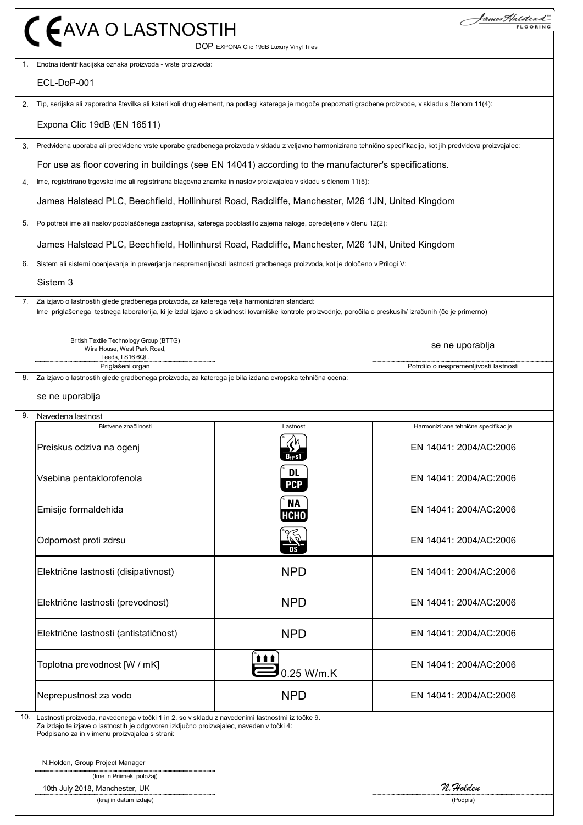|    | C EAVA O LASTNOSTIH                                                                                                                                                                                                                                         | DOP EXPONA Clic 19dB Luxury Vinyl Tiles | James Haliteni                         |
|----|-------------------------------------------------------------------------------------------------------------------------------------------------------------------------------------------------------------------------------------------------------------|-----------------------------------------|----------------------------------------|
| 1. | Enotna identifikacijska oznaka proizvoda - vrste proizvoda:                                                                                                                                                                                                 |                                         |                                        |
|    | ECL-DoP-001                                                                                                                                                                                                                                                 |                                         |                                        |
|    | 2. Tip, serijska ali zaporedna številka ali kateri koli drug element, na podlagi katerega je mogoče prepoznati gradbene proizvode, v skladu s členom 11(4):                                                                                                 |                                         |                                        |
|    | Expona Clic 19dB (EN 16511)                                                                                                                                                                                                                                 |                                         |                                        |
|    | 3. Predvidena uporaba ali predvidene vrste uporabe gradbenega proizvoda v skladu z veljavno harmonizirano tehnično specifikacijo, kot jih predvideva proizvajalec:                                                                                          |                                         |                                        |
|    | For use as floor covering in buildings (see EN 14041) according to the manufacturer's specifications.                                                                                                                                                       |                                         |                                        |
| 4. | Ime, registrirano trgovsko ime ali registrirana blagovna znamka in naslov proizvajalca v skladu s členom 11(5):                                                                                                                                             |                                         |                                        |
|    | James Halstead PLC, Beechfield, Hollinhurst Road, Radcliffe, Manchester, M26 1JN, United Kingdom                                                                                                                                                            |                                         |                                        |
| 5. | Po potrebi ime ali naslov pooblaščenega zastopnika, katerega pooblastilo zajema naloge, opredeljene v členu 12(2):                                                                                                                                          |                                         |                                        |
|    | James Halstead PLC, Beechfield, Hollinhurst Road, Radcliffe, Manchester, M26 1JN, United Kingdom                                                                                                                                                            |                                         |                                        |
| 6. | Sistem ali sistemi ocenjevanja in preverjanja nespremenljivosti lastnosti gradbenega proizvoda, kot je določeno v Prilogi V:                                                                                                                                |                                         |                                        |
|    | Sistem 3                                                                                                                                                                                                                                                    |                                         |                                        |
|    | 7. Za izjavo o lastnostih glede gradbenega proizvoda, za katerega velja harmoniziran standard:<br>Ime priglašenega testnega laboratorija, ki je izdal izjavo o skladnosti tovarniške kontrole proizvodnje, poročila o preskusih/ izračunih (če je primerno) |                                         |                                        |
|    | British Textile Technology Group (BTTG)<br>Wira House, West Park Road,<br>Leeds, LS16 6QL.                                                                                                                                                                  |                                         | se ne uporablja                        |
|    | Priglašeni organ<br>Za izjavo o lastnostih glede gradbenega proizvoda, za katerega je bila izdana evropska tehnična ocena:                                                                                                                                  |                                         | Potrdilo o nespremenljivosti lastnosti |
| 8. | se ne uporablja                                                                                                                                                                                                                                             |                                         |                                        |
| 9. | Navedena lastnost<br>Bistvene značilnosti                                                                                                                                                                                                                   | Lastnost                                | Harmonizirane tehnične specifikacije   |
|    | Preiskus odziva na ogenj                                                                                                                                                                                                                                    | ZИ<br>$B_{11}$ -s1                      | EN 14041: 2004/AC:2006                 |
|    | Vsebina pentaklorofenola                                                                                                                                                                                                                                    | <b>DL</b><br><b>PCP</b>                 | EN 14041: 2004/AC:2006                 |
|    | Emisije formaldehida                                                                                                                                                                                                                                        | <b>NA</b><br><b>НСНО</b>                | EN 14041: 2004/AC:2006                 |
|    | Odpornost proti zdrsu                                                                                                                                                                                                                                       | DS                                      | EN 14041: 2004/AC:2006                 |
|    | Električne lastnosti (disipativnost)                                                                                                                                                                                                                        | <b>NPD</b>                              | EN 14041: 2004/AC:2006                 |
|    | Električne lastnosti (prevodnost)                                                                                                                                                                                                                           | <b>NPD</b>                              | EN 14041: 2004/AC:2006                 |
|    | Električne lastnosti (antistatičnost)                                                                                                                                                                                                                       | <b>NPD</b>                              | EN 14041: 2004/AC:2006                 |
|    | Toplotna prevodnost [W / mK]                                                                                                                                                                                                                                | 1 I I<br>0.25 W/m.K                     | EN 14041: 2004/AC:2006                 |
|    | Neprepustnost za vodo                                                                                                                                                                                                                                       | <b>NPD</b>                              | EN 14041: 2004/AC:2006                 |
|    | 10. Lastnosti proizvoda, navedenega v točki 1 in 2, so v skladu z navedenimi lastnostmi iz točke 9.<br>Za izdajo te izjave o lastnostih je odgovoren izključno proizvajalec, naveden v točki 4:<br>Podpisano za in v imenu proizvajalca s strani:           |                                         |                                        |
|    | N.Holden, Group Project Manager                                                                                                                                                                                                                             |                                         |                                        |
|    | (Ime in Priimek, položaj)<br>10th July 2018, Manchester, UK                                                                                                                                                                                                 |                                         | N. Holden                              |
|    | (kraj in datum izdaje)                                                                                                                                                                                                                                      |                                         | (Podpis)                               |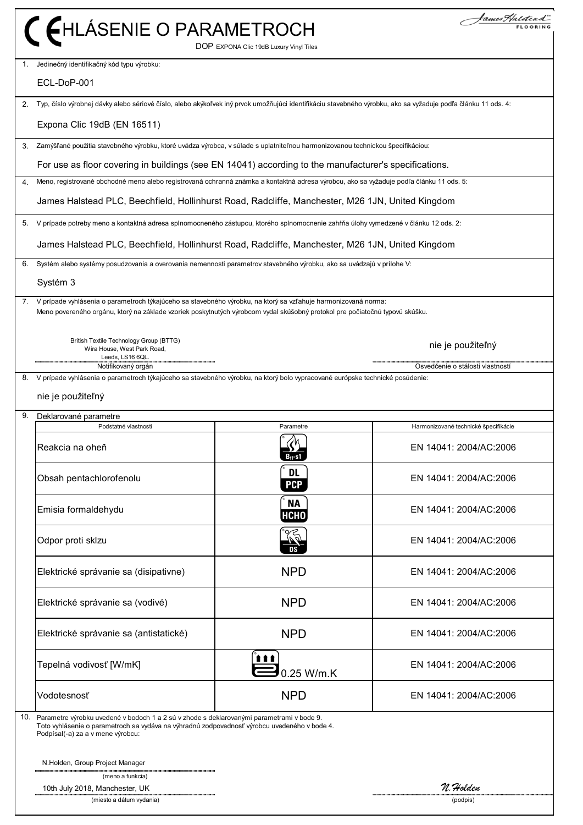|     | C FHLÁSENIE O PARAMETROCH                                                                                                                                                                                                                         | DOP EXPONA Clic 19dB Luxury Vinyl Tiles | kames F/aliten d                     |
|-----|---------------------------------------------------------------------------------------------------------------------------------------------------------------------------------------------------------------------------------------------------|-----------------------------------------|--------------------------------------|
| 1.  | Jedinečný identifikačný kód typu výrobku:                                                                                                                                                                                                         |                                         |                                      |
|     | ECL-DoP-001                                                                                                                                                                                                                                       |                                         |                                      |
| 2.  | Typ, číslo výrobnej dávky alebo sériové číslo, alebo akýkoľvek iný prvok umožňujúci identifikáciu stavebného výrobku, ako sa vyžaduje podľa článku 11 ods. 4:                                                                                     |                                         |                                      |
|     | Expona Clic 19dB (EN 16511)                                                                                                                                                                                                                       |                                         |                                      |
| 3.  | Zamýšľané použitia stavebného výrobku, ktoré uvádza výrobca, v súlade s uplatniteľnou harmonizovanou technickou špecifikáciou:                                                                                                                    |                                         |                                      |
|     | For use as floor covering in buildings (see EN 14041) according to the manufacturer's specifications.                                                                                                                                             |                                         |                                      |
| 4.  | Meno, registrované obchodné meno alebo registrovaná ochranná známka a kontaktná adresa výrobcu, ako sa vyžaduje podľa článku 11 ods. 5:                                                                                                           |                                         |                                      |
|     | James Halstead PLC, Beechfield, Hollinhurst Road, Radcliffe, Manchester, M26 1JN, United Kingdom                                                                                                                                                  |                                         |                                      |
| 5.  | V prípade potreby meno a kontaktná adresa splnomocneného zástupcu, ktorého splnomocnenie zahŕňa úlohy vymedzené v článku 12 ods. 2:                                                                                                               |                                         |                                      |
|     | James Halstead PLC, Beechfield, Hollinhurst Road, Radcliffe, Manchester, M26 1JN, United Kingdom                                                                                                                                                  |                                         |                                      |
| 6.  | Systém alebo systémy posudzovania a overovania nemennosti parametrov stavebného výrobku, ako sa uvádzajú v prílohe V:                                                                                                                             |                                         |                                      |
|     | Systém 3                                                                                                                                                                                                                                          |                                         |                                      |
|     | 7. V prípade vyhlásenia o parametroch týkajúceho sa stavebného výrobku, na ktorý sa vzťahuje harmonizovaná norma:<br>Meno povereného orgánu, ktorý na základe vzoriek poskytnutých výrobcom vydal skúšobný protokol pre počiatočnú typovú skúšku. |                                         |                                      |
|     | British Textile Technology Group (BTTG)<br>Wira House, West Park Road,<br>Leeds, LS16 6QL.                                                                                                                                                        |                                         | nie je použiteľný                    |
| 8.  | Notifikovaný orgán<br>V prípade vyhlásenia o parametroch týkajúceho sa stavebného výrobku, na ktorý bolo vypracované európske technické posúdenie:                                                                                                |                                         | Osvedčenie o stálosti vlastností     |
|     | nie je použiteľný                                                                                                                                                                                                                                 |                                         |                                      |
|     |                                                                                                                                                                                                                                                   |                                         |                                      |
| 9.  | Deklarované parametre<br>Podstatné vlastnosti                                                                                                                                                                                                     | Parametre                               | Harmonizované technické špecifikácie |
|     | Reakcia na oheň                                                                                                                                                                                                                                   | <b>U</b> N<br>D) 2<br>$B_{fl}$ -s1      | EN 14041: 2004/AC:2006               |
|     | Obsah pentachlorofenolu                                                                                                                                                                                                                           | <b>DL</b><br><b>PCP</b>                 | EN 14041: 2004/AC:2006               |
|     | Emisia formaldehydu                                                                                                                                                                                                                               | <b>NA</b><br>НСНО                       | EN 14041: 2004/AC:2006               |
|     | Odpor proti sklzu                                                                                                                                                                                                                                 | $\mathbb{Z}$<br>DS                      | EN 14041: 2004/AC:2006               |
|     | Elektrické správanie sa (disipativne)                                                                                                                                                                                                             | <b>NPD</b>                              | EN 14041: 2004/AC:2006               |
|     | Elektrické správanie sa (vodivé)                                                                                                                                                                                                                  | <b>NPD</b>                              | EN 14041: 2004/AC:2006               |
|     | Elektrické správanie sa (antistatické)                                                                                                                                                                                                            | <b>NPD</b>                              | EN 14041: 2004/AC:2006               |
|     | Tepelná vodivosť [W/mK]                                                                                                                                                                                                                           | <b>ttt</b><br>0.25 W/m.K                | EN 14041: 2004/AC:2006               |
|     | Vodotesnosť                                                                                                                                                                                                                                       | <b>NPD</b>                              | EN 14041: 2004/AC:2006               |
| 10. | Parametre výrobku uvedené v bodoch 1 a 2 sú v zhode s deklarovanými parametrami v bode 9.<br>Toto vyhlásenie o parametroch sa vydáva na výhradnú zodpovednosť výrobcu uvedeného v bode 4.<br>Podpísal(-a) za a v mene výrobcu:                    |                                         |                                      |
|     | N.Holden, Group Project Manager                                                                                                                                                                                                                   |                                         |                                      |
|     | (meno a funkcia)<br>10th July 2018, Manchester, UK                                                                                                                                                                                                |                                         | N. Holden                            |
|     | (miesto a dátum vydania)                                                                                                                                                                                                                          |                                         | (podpis)                             |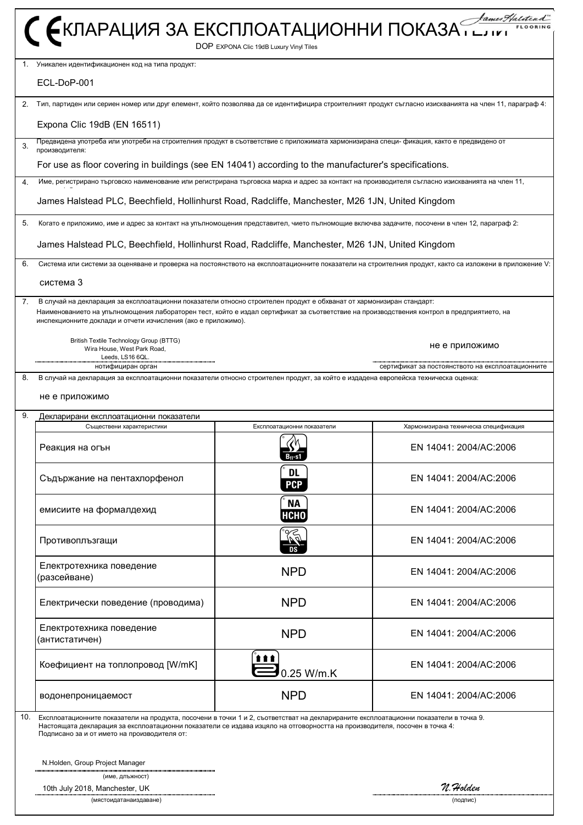|     | С ЄКЛАРАЦИЯ ЗА ЕКСПЛОАТАЦИОННИ ПОКАЗА ГРАДИТЕЛЬ                                                                                                                                                                                                                                                                                    |                                         |                                                                                                                                                        |
|-----|------------------------------------------------------------------------------------------------------------------------------------------------------------------------------------------------------------------------------------------------------------------------------------------------------------------------------------|-----------------------------------------|--------------------------------------------------------------------------------------------------------------------------------------------------------|
|     |                                                                                                                                                                                                                                                                                                                                    | DOP EXPONA Clic 19dB Luxury Vinyl Tiles |                                                                                                                                                        |
| 1.  | Уникален идентификационен код на типа продукт:<br>ECL-DoP-001                                                                                                                                                                                                                                                                      |                                         |                                                                                                                                                        |
| 2.  |                                                                                                                                                                                                                                                                                                                                    |                                         | Тип, партиден или сериен номер или друг елемент, който позволява да се идентифицира строителният продукт съгласно изискванията на член 11, параграф 4: |
|     | Expona Clic 19dB (EN 16511)                                                                                                                                                                                                                                                                                                        |                                         |                                                                                                                                                        |
| 3.  | Предвидена употреба или употреби на строителния продукт в съответствие с приложимата хармонизирана специ- фикация, както е предвидено от<br>производителя:                                                                                                                                                                         |                                         |                                                                                                                                                        |
|     | For use as floor covering in buildings (see EN 14041) according to the manufacturer's specifications.                                                                                                                                                                                                                              |                                         |                                                                                                                                                        |
| 4.  | Име, регистрирано търговско наименование или регистрирана търговска марка и адрес за контакт на производителя съгласно изискванията на член 11,                                                                                                                                                                                    |                                         |                                                                                                                                                        |
|     | James Halstead PLC, Beechfield, Hollinhurst Road, Radcliffe, Manchester, M26 1JN, United Kingdom                                                                                                                                                                                                                                   |                                         |                                                                                                                                                        |
| 5.  | Когато е приложимо, име и адрес за контакт на упълномощения представител, чието пълномощие включва задачите, посочени в член 12, параграф 2:                                                                                                                                                                                       |                                         |                                                                                                                                                        |
|     | James Halstead PLC, Beechfield, Hollinhurst Road, Radcliffe, Manchester, M26 1JN, United Kingdom                                                                                                                                                                                                                                   |                                         |                                                                                                                                                        |
| 6.  |                                                                                                                                                                                                                                                                                                                                    |                                         | Система или системи за оценяване и проверка на постоянството на експлоатационните показатели на строителния продукт, както са изложени в приложение V: |
|     | система 3                                                                                                                                                                                                                                                                                                                          |                                         |                                                                                                                                                        |
| 7.  | В случай на декларация за експлоатационни показатели относно строителен продукт е обхванат от хармонизиран стандарт:<br>Наименованието на упълномощения лабораторен тест, който е издал сертификат за съответствие на производствения контрол в предприятието, на<br>инспекционните доклади и отчети изчисления (ако е приложимо). |                                         |                                                                                                                                                        |
|     | British Textile Technology Group (BTTG)<br>Wira House, West Park Road,<br>Leeds, LS16 6QL.                                                                                                                                                                                                                                         |                                         | не е приложимо                                                                                                                                         |
| 8.  | нотифициран орган                                                                                                                                                                                                                                                                                                                  |                                         | сертификат за постоянството на експлоатационните                                                                                                       |
|     | В случай на декларация за експлоатационни показатели относно строителен продукт, за който е издадена европейска техническа оценка:<br>не е приложимо                                                                                                                                                                               |                                         |                                                                                                                                                        |
| 9.  | Декларирани експлоатационни показатели<br>Съществени характеристики                                                                                                                                                                                                                                                                | Експлоатационни показатели              | Хармонизирана техническа спецификация                                                                                                                  |
|     | Реакция на огън                                                                                                                                                                                                                                                                                                                    | И<br>$B_{fl}$ -s1                       | EN 14041: 2004/AC:2006                                                                                                                                 |
|     | Съдържание на пентахлорфенол                                                                                                                                                                                                                                                                                                       | <b>DL</b><br><b>PCP</b>                 | EN 14041: 2004/AC:2006                                                                                                                                 |
|     | емисиите на формалдехид                                                                                                                                                                                                                                                                                                            | <b>NA</b><br><b>НСНО</b>                | EN 14041: 2004/AC:2006                                                                                                                                 |
|     | Противоплъзгащи                                                                                                                                                                                                                                                                                                                    | $\widetilde{\mathbb{F}}$                | EN 14041: 2004/AC:2006                                                                                                                                 |
|     | Електротехника поведение<br>(разсейване)                                                                                                                                                                                                                                                                                           | <b>NPD</b>                              | EN 14041: 2004/AC:2006                                                                                                                                 |
|     | Електрически поведение (проводима)                                                                                                                                                                                                                                                                                                 | <b>NPD</b>                              | EN 14041: 2004/AC:2006                                                                                                                                 |
|     | Електротехника поведение<br>(антистатичен)                                                                                                                                                                                                                                                                                         | <b>NPD</b>                              | EN 14041: 2004/AC:2006                                                                                                                                 |
|     | Коефициент на топлопровод [W/mK]                                                                                                                                                                                                                                                                                                   | 0.25 W/m.K                              | EN 14041: 2004/AC:2006                                                                                                                                 |
|     | водонепроницаемост                                                                                                                                                                                                                                                                                                                 | <b>NPD</b>                              | EN 14041: 2004/AC:2006                                                                                                                                 |
| 10. | Експлоатационните показатели на продукта, посочени в точки 1 и 2, съответстват на декларираните експлоатационни показатели в точка 9.<br>Настоящата декларация за експлоатационни показатели се издава изцяло на отговорността на производителя, посочен в точка 4:<br>Подписано за и от името на производителя от:                |                                         |                                                                                                                                                        |
|     | N.Holden, Group Project Manager                                                                                                                                                                                                                                                                                                    |                                         |                                                                                                                                                        |
|     | (име, длъжност)<br>10th July 2018, Manchester, UK<br>(мястоидатанаиздаване)                                                                                                                                                                                                                                                        |                                         | N. Holden<br>(подпис)                                                                                                                                  |